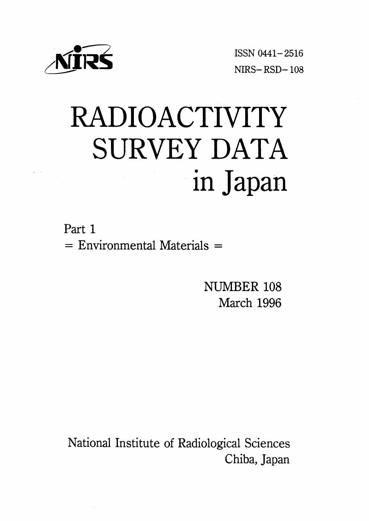

ISSN 0441-2516  $NIRS - RSD - 108$ 

# RADIOACTIVITY SURVEY DATA in Japan

Part 1  $=$  Environmental Materials  $=$ 

> NUMBER 108 March 1996

National Institute of Radiological Sciences Chiba, Japan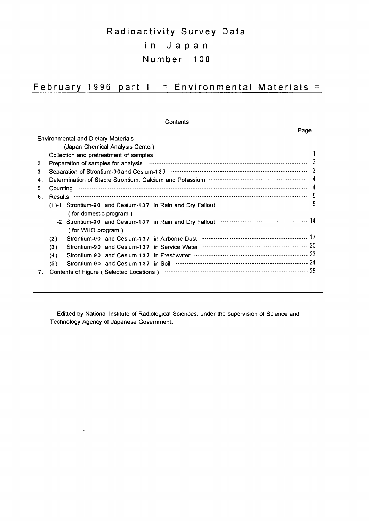# Radioactivity Survey Data in Japan Number 108

## February 1996 part  $1 =$  Environmental Materials =

## Contents

Page

 $\hat{\boldsymbol{\beta}}$ 

|    |          | <b>Environmental and Dietary Materials</b> |                                  |                                                                  |  |
|----|----------|--------------------------------------------|----------------------------------|------------------------------------------------------------------|--|
|    |          |                                            | (Japan Chemical Analysis Center) |                                                                  |  |
| 1. |          |                                            |                                  |                                                                  |  |
| 2. |          |                                            |                                  |                                                                  |  |
| З. |          |                                            |                                  |                                                                  |  |
| 4. |          |                                            |                                  |                                                                  |  |
| 5. | Countina |                                            |                                  |                                                                  |  |
| 6. |          |                                            |                                  |                                                                  |  |
|    |          |                                            |                                  |                                                                  |  |
|    |          | (for domestic program)                     |                                  |                                                                  |  |
|    |          |                                            |                                  |                                                                  |  |
|    |          | (for WHO program)                          |                                  |                                                                  |  |
|    | (2)      |                                            |                                  |                                                                  |  |
|    | (3)      |                                            |                                  |                                                                  |  |
|    | (4)      |                                            |                                  | Strontium-90 and Cesium-137 in Freshwater <b>Construction</b> 23 |  |
|    | (5)      |                                            |                                  |                                                                  |  |
| 7. |          |                                            |                                  |                                                                  |  |
|    |          |                                            |                                  |                                                                  |  |

Editted by National Institute of Radiological Sciences, under the supervision of Science and Technology Agency of Japanese Government.

 $\ddot{\phantom{0}}$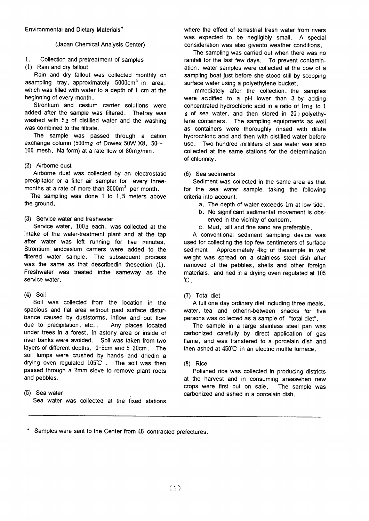## (Japan Chemical Analysis Center)

#### $\mathbf{1}$ Collection and pretreatment of samples

(1) Rain and dry fallout

Rain and dry fallout was collected monthly on asampling tray, approximately 5000cm<sup>2</sup> in area, which was filled with water to a depth of 1 cm at the beginning of every month.

Strontium and cesium carrier solutions were added after the sample was filtered. Thetray was washed with 5g of distilled water and the washing was combined to the filtrate.

The sample was passed through a cation exchange column (500mg of Dowex 50W X8, 50 $\sim$ 100 mesh, Na form) at a rate flow of 80m e/min.

## (2) Airborne dust

Airborne dust was collected by an electrostatic precipitator or a filter air sampler for every threemonths at a rate of more than 3000m<sup>3</sup> per month.

The sampling was done 1 to 1.5 meters above the ground.

## (3) Service water and freshwater

Service water,  $100<sub>g</sub>$  each, was collected at the intake of the water-treatment plant and at the tap after water was left running for five minutes. Strontium andcesium carriers were added to the filtered water sample. The subsequent process was the same as that described in the section (1). Freshwater was treated inthe sameway as the service water.

## $(4)$  Soil

Soil was collected from the location in the spacious and flat area without past surface disturbance caused by duststorms, inflow and out flow due to precipitation, etc.. Any places located under trees in a forest, in astony area or inside of river banks were avoided. Soil was taken from two layers of different depths, 0-5cm and 5-20cm. The soil lumps were crushed by hands and driedin a drying oven regulated 105°C. The soil was then passed through a 2mm sieve to remove plant roots and pebbles.

## (5) Sea water

Sea water was collected at the fixed stations

where the effect of terrestrial fresh water from rivers was expected to be negligibly small. A special consideration was also givento weather conditions.

The sampling was carried out when there was no rainfall for the last few days. To prevent contamination, water samples were collected at the bow of a sampling boat just before she stood still by scooping surface water using a polyethylene bucket.

Immediately after the collection, the samples were acidified to a pH lower than 3 by adding concentrated hydrochloric acid in a ratio of 1mo to 1  $\varrho$  of sea water, and then stored in 20 $\varrho$  polyethylene containers. The sampling equipments as well as containers were thoroughly rinsed with dilute hydrochloric acid and then with distilled water before use. Two hundred milliliters of sea water was also collected at the same stations for the determination of chlorinity.

## (6) Sea sediments

Sediment was collected in the same area as that for the sea water sample, taking the following criteria into account:

- a. The depth of water exceeds 1m at low tide.
- b. No significant sedimental movement is observed in the vicinity of concern.
- c. Mud, silt and fine sand are preferable.

A conventional sediment sampling device was used for collecting the top few centimeters of surface sediment. Approximately 4kg of thesample in wet weight was spread on a stainless steel dish after removed of the pebbles, shells and other foreign materials, and ried in a drying oven regulated at 105 **С.** 

## (7) Total diet

A full one day ordinary diet including three meals, water, tea and otherin-between snacks for five persons was collected as a sample of "total diet".

The sample in a large stainless steel pan was carbonized carefully by direct application of gas flame, and was transfered to a porcelain dish and then ashed at 450°C in an electric muffle furnace.

## $(8)$  Rice

Polished rice was collected in producing districts at the harvest and in consuming areaswhen new crops were first put on sale. The sample was carbonized and ashed in a porcelain dish.

\* Samples were sent to the Center from 46 contracted prefectures.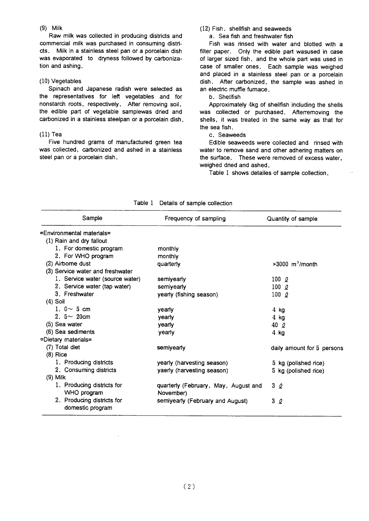## $(9)$  Milk

Raw milk was collected in producing districts and commercial milk was purchased in consuming districts. Milk in a stainless steel pan or a porcelain dish was evaporated to dryness followed by carbonization and ashing.

## $(10)$  Vegetables

Spinach and Japanese radish were selected as the representatives for left vegetables and for nonstarch roots, respectively. After removing soil, the edible part of vegetable samplewas dried and carbonized in a stainless steelpan or a porcelain dish.

## $(11)$  Tea

Five hundred grams of manufactured green tea was collected, carbonized and ashed in a stainless steel pan or a porcelain dish.

## (12) Fish, shellfish and seaweeds

a. Sea fish and freshwater fish

Fish was rinsed with water and blotted with a filter paper. Only the edible part wasused in case of larger sized fish, and the whole part was used in case of smaller ones. Each sample was weighed and placed in a stainless steel pan or a porcelain dish. After carbonized, the sample was ashed in an electric muffle fumace.

## b. Shellfish

Approximately 4kg of shellfish including the shells was collected or purchased. Afterremoving the shells, it was treated in the same way as that for the sea fish.

## c. Seaweeds

Edible seaweeds were collected and rinsed with water to remove sand and other adhering matters on the surface. These were removed of excess water, weighed dried and ashed.

Table 1 shows detailes of sample collection.

|                                  | <b>Details of sample collection</b>  |                               |
|----------------------------------|--------------------------------------|-------------------------------|
| Sample                           | Frequency of sampling                | Quantity of sample            |
| =Environmental materials=        |                                      |                               |
| (1) Rain and dry fallout         |                                      |                               |
| 1. For domestic program          | monthly                              |                               |
| 2. For WHO program               | monthly                              |                               |
| (2) Airborne dust                | quarterly                            | $>3000$ m <sup>3</sup> /month |
| (3) Service water and freshwater |                                      |                               |
| 1. Service water (source water)  | semiyearly                           | 100 $\varrho$                 |
| 2. Service water (tap water)     | semiyearly                           | 100 $\ell$                    |
| 3. Freshwater                    | yearly (fishing season)              | 100 $\ell$                    |
| $(4)$ Soil                       |                                      |                               |
| 1. $0 \sim 5$ cm                 | yearly                               | 4 kg                          |
| 2. $5 \sim 20$ cm                | yearly                               | $4$ kg                        |
| $(5)$ Sea water                  | yearly                               | 40 Q                          |
| (6) Sea sediments                | yearly                               | $4$ kg                        |
| =Dietary materials=              |                                      |                               |
| (7) Total diet                   | semiyearly                           | daily amount for 5 persons    |
| $(8)$ Rice                       |                                      |                               |
| 1. Producing districts           | yearly (harvesting season)           | 5 kg (polished rice)          |
| 2. Consuming districts           | yaerly (harvesting season)           | 5 kg (polished rice)          |
| $(9)$ Milk                       |                                      |                               |
| 1. Producing districts for       | quarterly (February, May, August and | 3Q                            |
| WHO program                      | November)                            |                               |
| 2. Producing districts for       | semiyearly (February and August)     | 3<br>2                        |
| domestic program                 |                                      |                               |

## Table 1 Details of sample collection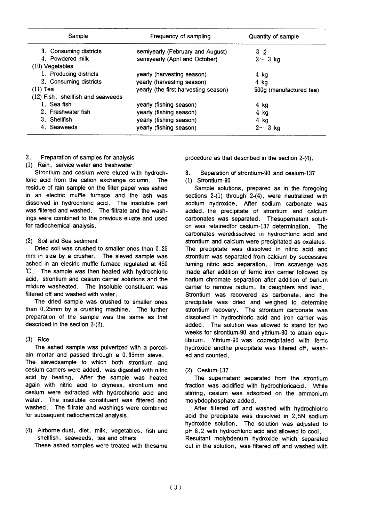| Sample                            | Frequency of sampling                | Quantity of sample      |
|-----------------------------------|--------------------------------------|-------------------------|
| 3. Consuming districts            | semiyearly (February and August)     | 3Q                      |
| 4. Powdered milk                  | semiyearly (April and October)       | $2 \sim 3$ kg           |
| $(10)$ Vegetables                 |                                      |                         |
| 1. Producing districts            | yearly (harvesting season)           | 4 kg                    |
| 2. Consuming districts            | yearly (harvesting season)           | $4$ kg                  |
| $(11)$ Tea                        | yearly (the first harvesting season) | 500g (manufactured tea) |
| (12) Fish, shellfish and seaweeds |                                      |                         |
| 1. Sea fish                       | yearly (fishing season)              | 4 kg                    |
| 2. Freshwater fish                | yearly (fishing season)              | $4$ kg                  |
| 3. Shellfish                      | yearly (fishing season)              | $4$ kg                  |
| 4. Seaweeds                       | yearly (fishing season)              | $2 \sim 3$ kg           |

#### $2.$ Preparation of samples for analysis

## (1) Rain, service water and freshwater

Strontium and cesium were eluted with hydrochloric acid from the cation exchange column. The residue of rain sample on the filter paper was ashed in an electric muffle furnace and the ash was dissolved in hydrochloric acid. The insoluble part was filtered and washed. The filtrate and the washings were combined to the previous eluate and used for radiochemical analysis.

## (2) Soil and Sea sediment

Dried soil was crushed to smaller ones than 0.25 mm in size by a crusher. The sieved sample was ashed in an electric muffle fumace regulated at 450 °C. The sample was then heated with hydrochloric acid, strontium and cesium carrier solutions and the mixture washeated. The insoluble constituent was filtered off and washed with water.

The dried sample was crushed to smaller ones than 0.25mm by a crushing machine. The further preparation of the sample was the same as that described in the section 2-(2).

## $(3)$  Rice

The ashed sample was pulverized with a porcelain mortar and passed through a 0.35mm sieve.

The sievedsample to which both strontium and cesium carriers were added, was digested with nitric acid by heating. After the sample was heated again with nitric acid to dryness, strontium and cesium were extracted with hydrochloric acid and water. The insoluble constituent was filtered and washed. The filtrate and washings were combined for subsequent radiochemical analysis.

(4) Airborne dust, diet, milk, vegetables, fish and shellfish, seaweeds, tea and others These ashed samples were treated with thesame

procedure as that described in the section 2-(4).

Separation of strontium-90 and cesium-137  $\mathbf{R}$ 

(1) Strontium-90

Sample solutions, prepared as in the foregoing sections 2-(1) through 2-(4), were neutralized with sodium hydroxide. After sodium carbonate was added, the precipitate of strontium and calcium carbonates was separated. Thesupernatant solution was retained for cesium-137 determination. The carbonates weredissolved in hydrochloric acid and strontium and calcium were precipitated as oxalates. The precipitate was dissolved in nitric acid and strontium was separated from calcium by successive fuming nitric acid separation. Iron scavenge was made after addition of ferric iron carrier followed by barium chromate separation after addition of barium carrier to remove radium, its daughters and lead. Strontium was recovered as carbonate, and the precipitate was dried and weighed to determine strontium recovery. The strontium carbonate was dissolved in hydrochloric acid and iron carrier was added. The solution was allowed to stand for two weeks for strontium-90 and yttrium-90 to attain equilibrium. Yttrium-90 was coprecipitated with ferric hydroxide andthe precipitate was filtered off, washed and counted.

## (2) Cesium-137

The supernatant separated from the strontium fraction was acidified with hydrochloricacid. While stirring, cesium was adsorbed on the ammonium molybdophosphate added.

After filtered off and washed with hydrochlotric acid the precipitate was dissolved in 2.5N sodium hydroxide solution. The solution was adjusted to pH 8.2 with hydrochloric acid and allowed to cool. Resultant molybdenum hydroxide which separated out in the solution, was filtered off and washed with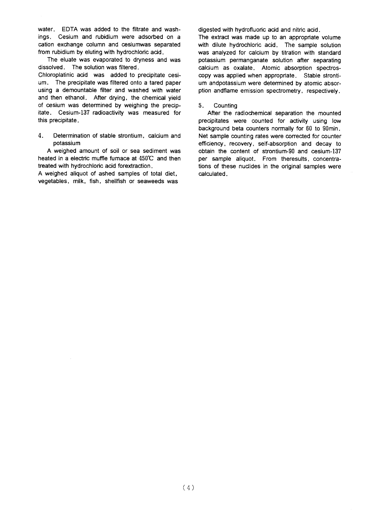water. EDTA was added to the filtrate and washings. Cesium and rubidium were adsorbed on a cation exchange column and cesiumwas separated from rubidium by eluting with hydrochloric acid.

The eluate was evaporated to dryness and was dissolved. The solution was filtered.

Chloroplatinic acid was added to precipitate cesium. The precipitate was filtered onto a tared paper using a demountable filter and washed with water and then ethanol. After drying, the chemical yield of cesium was determined by weighing the precipitate. Cesium-137 radioactivity was measured for this precipitate.

 $\overline{4}$ . Determination of stable strontium, calcium and potassium

A weighed amount of soil or sea sediment was heated in a electric muffle fumace at 450°C and then treated with hydrochloric acid forextraction.

A weighed aliquot of ashed samples of total diet, vegetables, milk, fish, shellfish or seaweeds was digested with hydrofluoric acid and nitric acid.

The extract was made up to an appropriate volume with dilute hydrochloric acid. The sample solution was analyzed for calcium by titration with standard potassium permanganate solution after separating calcium as oxalate. Atomic absorption spectroscopy was applied when appropriate. Stable strontium andpotassium were determined by atomic absorption andflame emission spectrometry, respectively,

5. Counting

After the radiochemical separation the mounted precipitates were counted for activity using low background beta counters normally for 60 to 90min. Net sample counting rates were corrected for counter efficiency, recovery, self-absorption and decay to obtain the content of strontium-90 and cesium-137 per sample aliquot. From theresults, concentrations of these nuclides in the original samples were calculated.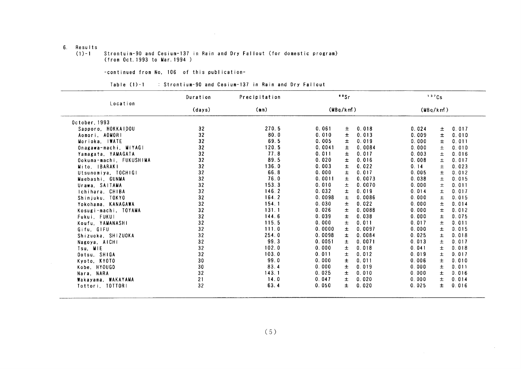## $\sim 10^{-1}$

## 6. Results

#### Strontuim-90 and Cesium-137 in Rain and Dry Fallout (for domestic program)  $(1) - 1$ (from Oct. 1993 to Mar. 1994)

## -continued from No. 106 of this publication-

### Table (1)-1 : Strontium-90 and Cesium-137 in Rain and Dry Fallout

|                         | Duration | Precipitation | 80Sr            |        | 137Cs |                |  |
|-------------------------|----------|---------------|-----------------|--------|-------|----------------|--|
| Location                | (days)   | (mn)          | (MBq/km)        |        |       | (MBq/km)       |  |
| October, 1993           |          |               |                 |        |       |                |  |
| Sapporo, HOKKAIDOU      | 32       | 270.5         | 0.061<br>Ŧ.     | 0.018  | 0.024 | 0.017<br>土     |  |
| Aomori, AOMORI          | 32       | 80.0          | 0.010<br>Ŧ      | 0.013  | 0.009 | 士<br>0.010     |  |
| Morioka, IWATE          | 32       | 69.5          | 0.005<br>Ŧ.     | 0.019  | 0.000 | 0.011<br>±.    |  |
| Onagawa-machi, MIYAGI   | 32       | 120.5         | 0.0041<br>土     | 0.0084 | 0.000 | 0.010<br>士     |  |
| Yamagata, YAMAGATA      | 32       | 77.8          | 0.011<br>$\pm$  | 0.017  | 0.003 | 0.016<br>$\pm$ |  |
| Ookuma-machi, FUKUSHIMA | 32       | 89.5          | 0.020<br>士      | 0.016  | 0.008 | 0.017<br>士     |  |
| Mito, IBARAKI           | 32       | 136.0         | 0.003<br>±      | 0.022  | 0.14  | 0.023<br>士     |  |
| Utsunomiya, TOCHIGI     | 32       | 66.8          | 0.000<br>Ŧ      | 0.017  | 0.005 | 0.012<br>士     |  |
| Maebashi. GUNMA         | 32       | 76.0          | 0.0011<br>士     | 0.0073 | 0.038 | 0.015<br>士     |  |
| Urawa, SAITAMA          | 32       | 153.3         | 0.010<br>士      | 0.0070 | 0.000 | 0.011<br>士     |  |
| Ichihara, CHIBA         | 32       | 146.2         | 0.032<br>±.     | 0.019  | 0.014 | 0.017<br>士     |  |
| Shinjuku, TOKYO         | 32       | 164.2         | 0.0098<br>$\pm$ | 0.0086 | 0.000 | 0.015<br>$\pm$ |  |
| Yokohama, KANAGAWA      | 32       | 154.1         | 0.030<br>$\pm$  | 0.022  | 0.000 | 0.014<br>士     |  |
| Kosugi-machi, TOYAMA    | 32       | 131.1         | 0.026<br>士      | 0.0088 | 0.000 | 0.012<br>±.    |  |
| Fukui, FUKUI            | 32       | 144.6         | 0.039<br>士      | 0.038  | 0.000 | 0.075<br>Ŧ     |  |
| Koufu YAMANASHI         | 32       | 115.5         | 0.000<br>±.     | 0.011  | 0.017 | 0.011<br>士     |  |
| Gifu, GIFU              | 32       | 111.0         | 0.0000<br>$\pm$ | 0.0097 | 0.000 | 0.015<br>士     |  |
| Shizuoka, SHIZUOKA      | 32       | 254.0         | 0.0098<br>$\pm$ | 0.0084 | 0.025 | 0.018<br>士     |  |
| Nagoya, AICHI           | 32       | 99.3          | 0.0051<br>$\pm$ | 0.0071 | 0.013 | 0.017<br>土     |  |
| Tsu, MIE                | 32       | 102.0         | 0.000<br>Ŧ      | 0.018  | 0.041 | 0.018<br>$\pm$ |  |
| Ootsu, SHIGA            | 32       | 103.0         | 0.011<br>士      | 0.012  | 0.019 | 0.017<br>士     |  |
| Kyoto, KYOTO            | 30       | 99.0          | 0.000<br>Ŧ      | 0.011  | 0.006 | 0.010<br>±     |  |
| Kobe, HYOUGO            | 30       | 83.4          | 0.000<br>士      | 0.019  | 0.000 | 0.011<br>土     |  |
| Nara, NARA              | 32       | 143.1         | 0.025<br>士      | 0.010  | 0.000 | 0.016<br>士     |  |
| Wakayama, WAKAYAMA      | 21       | 14.0          | 0.047<br>士      | 0.020  | 0.000 | 0.014<br>士     |  |
| Tottori, TOTTORI        | 32       | 63.4          | 0.050<br>Ŧ.     | 0.020  | 0.025 | 0.016<br>Ŧ     |  |

 $\sim$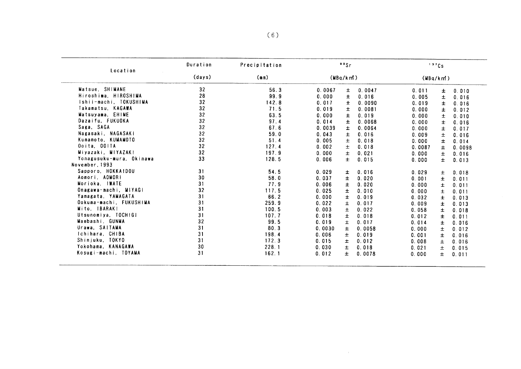|                          | Duration | Precipitation<br>(mn) | "Sr      |       |        | 137Cs     |       |        |
|--------------------------|----------|-----------------------|----------|-------|--------|-----------|-------|--------|
| Location                 | (days)   |                       | (MBq/km) |       |        | (WBq/km!) |       |        |
| Matsue, SHIMANE          | 32       | 56.3                  | 0.0067   | 士     | 0.0047 | 0.011     | 土     | 0.010  |
| Hiroshima, HIROSHIMA     | 28       | 99.9                  | 0.000    | 土     | 0.016  | 0.005     | $\pm$ | 0.016  |
| Ishii-machi, TOKUSHIMA   | 32       | 142.8                 | 0.017    | Ŧ     | 0.0090 | 0.019     | $\pm$ | 0.016  |
| Takamatsu, KAGAWA        | 32       | 71.5                  | 0.019    | 土     | 0.0081 | 0.000     | Ŧ     | 0.012  |
| Matsuvama, EHIME         | 32       | 63.5                  | 0.000    | $\pm$ | 0.019  | 0.000     | ±     | 0.010  |
| Dazaifu, FUKUOKA         | 32       | 97.4                  | 0.014    | Ŧ     | 0.0068 | 0.000     | Ŧ     | 0.016  |
| Saga, SAGA               | 32       | 67.6                  | 0.0039   | 士     | 0.0064 | 0.000     | 士     | 0.017  |
| Nagasaki, NAGASAKI       | 32       | 59.0                  | 0.043    | $\pm$ | 0.016  | 0.009     | Ŧ     | 0.016  |
| Kumamoto, KUMAMOTO       | 32       | 51.4                  | 0.005    | Ŧ     | 0.018  | 0.000     | $\pm$ | 0.014  |
| Ooita, OOITA             | 32       | 127.4                 | 0.002    | Ŧ.    | 0.018  | 0.0087    | ±     | 0.0098 |
| Miyazaki, MIYAZAKI       | 32       | 197.9                 | 0.000    | Ŧ.    | 0.021  | 0.000     | $\pm$ | 0.016  |
| Yonagusuku-mura, Okinawa | 33       | 128.5                 | 0.006    | Ŧ.    | 0.015  | 0.000     | $\pm$ | 0.013  |
| November, 1993           |          |                       |          |       |        |           |       |        |
| Sapporo, HOKKAIDOU       | 31       | 54.5                  | 0.029    | ±.    | 0.016  | 0.029     | $\pm$ | 0.018  |
| Aomori, AOMORI           | 30       | 58.0                  | 0.037    | Ŧ     | 0.020  | 0.001     | ±.    | 0.011  |
| Morioka, IWATE           | 31       | 77.9                  | 0.006    | 士     | 0.020  | 0.000     | ±.    | 0.011  |
| Onagawa-machi, MIYAGI    | 32       | 117.5                 | 0.025    | $\pm$ | 0.010  | 0.000     | $\pm$ | 0.011  |
| Yamagata, YAMAGATA       | 31       | 66.2                  | 0.000    | ±.    | 0.019  | 0.032     | $\pm$ | 0.013  |
| Ookuma-machi, FUKUSHINA  | 31       | 259.9                 | 0.022    | ±.    | 0.017  | 0.009     | ±.    | 0.013  |
| Mito, IBARAKI            | 31       | 100.5                 | 0.003    | $\pm$ | 0.022  | 0.058     | 土     | 0.018  |
| Utsunomiya, TOCHIGI      | 31       | 107.7                 | 0.018    | $\pm$ | 0.018  | 0.012     | Ŧ     | 0.011  |
| Maebashi, GUNMA          | 32       | 99.5                  | 0.019    | 士     | 0.017  | 0.014     | ŧ     | 0.016  |
| Urawa, SAITAMA           | 31       | 80.3                  | 0.0030   | $\pm$ | 0.0058 | 0.000     | Ŧ.    | 0.012  |
| Ichihara, CHIBA          | 31       | 198.4                 | 0.006    | $\pm$ | 0.019  | 0.001     | Ŧ.    | 0.016  |
| Shinjuku, TOKYO          | 31       | 172.3                 | 0.015    | 士     | 0.012  | 0.008     | $\pm$ | 0.016  |
| Yokohama, KANAGAWA       | 30       | 228.1                 | 0.030    | ±.    | 0.018  | 0.021     | $\pm$ | 0.015  |
|                          | 31       | 162.1                 | 0.012    | ±.    | 0.0078 | 0.000     | Ŧ.    | 0.011  |

 $\sim 10^{-11}$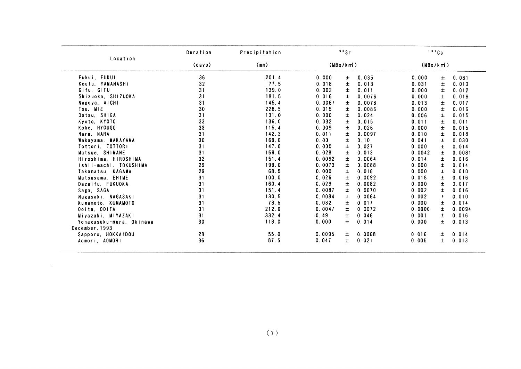|                          | Duration | Precipitation |        | 90Sr      |        | 137Cs    |       |        |
|--------------------------|----------|---------------|--------|-----------|--------|----------|-------|--------|
| Location                 | (days)   | (mn)          |        | (MBq/km!) |        | (MBq/km) |       |        |
| Fukui, FUKUI             | 36       | 201.4         | 0.000  | 士         | 0.035  | 0.000    | 土     | 0.081  |
| Koufu, YAMANASHI         | 32       | 77.5          | 0.018  | 士         | 0.013  | 0.031    | 士     | 0.013  |
| Gifu, GIFU               | 31       | 139.0         | 0.002  | 士         | 0.011  | 0.000    | ±.    | 0.012  |
| Shizuoka, SHIZUOKA       | 31       | 181.5         | 0.016  | $\pm$     | 0.0076 | 0.000    | 土     | 0.016  |
| Nagoya, AICHI            | 31       | 145.4         | 0.0067 | $\pm$     | 0.0078 | 0.013    | $\pm$ | 0.017  |
| Tsu, MIE                 | 30       | 228.5         | 0.015  | ±         | 0.0086 | 0.000    | Ŧ     | 0.016  |
| Ootsu, SHIGA             | 31       | 131.0         | 0.000  | $\pm$     | 0.024  | 0.006    | 士     | 0.015  |
| Kyoto, KYOTO             | 33       | 136.0         | 0.032  | $\pm$     | 0.015  | 0.011    | 士     | 0.011  |
| Kobe, HYOUGO             | 33       | 115.4         | 0.009  | $\pm$     | 0.026  | 0.000    | 士     | 0.015  |
| Nara, NARA               | 31       | 142.3         | 0.011  | 士         | 0.0097 | 0.010    | 士     | 0.018  |
| Wakayama, WAKAYAMA       | 30       | 169.0         | 0.00   | 士         | 0.10   | 0.041    | 士     | 0.030  |
| Tottori, TOTTORI         | 31       | 147.0         | 0.000  | $\pm$     | 0.027  | 0.000    | $\pm$ | 0.014  |
| Matsue, SHIMANE          | 31       | 159.0         | 0.028  | $\pm$     | 0.013  | 0.0042   | ±.    | 0.0081 |
| Hiroshima, HIROSHIMA     | 32       | 151.4         | 0.0092 | 士         | 0.0064 | 0.014    | 士     | 0.016  |
| Ishii-machi, TOKUSHIMA   | 29       | 199.0         | 0.0073 | $\pm$     | 0.0088 | 0.000    | $\pm$ | 0.014  |
| Takamatsu, KAGAWA        | 29       | 68.5          | 0.000  | $\pm$     | 0.018  | 0.000    | 士     | 0.010  |
| Matsuyama, EHIME         | 31       | 100.0         | 0.026  | 士         | 0.0092 | 0.018    | 士     | 0.016  |
| Dazaifu, FUKUOKA         | 31       | 160.4         | 0.029  | $\pm$     | 0.0082 | 0.000    | 士     | 0.017  |
| Saga, SAGA               | 31       | 151.4         | 0.0087 | Ŧ         | 0.0070 | 0.002    | $\pm$ | 0.016  |
| Nagasaki, NAGASAKI       | 31       | 130.5         | 0.0084 | $\pm$     | 0.0064 | 0.002    | 土     | 0.010  |
| Kumamoto, KUMAMOTO       | 31       | 73.5          | 0.032  | ±         | 0.017  | 0.000    | ±.    | 0.014  |
| Ooita, OOITA             | 31       | 212.0         | 0.0047 | $\pm$     | 0.0072 | 0.0000   | $\pm$ | 0.0094 |
| Miyazaki, MIYAZAKI       | 31       | 332.4         | 0.49   | 士         | 0.046  | 0.001    | 士     | 0.016  |
| Yonagusuku-mura, Okinawa | 30       | 118.0         | 0.000  | $\pm$     | 0.014  | 0.000    | $\pm$ | 0.013  |
| December, 1993           |          |               |        |           |        |          |       |        |
| Sapporo, HOKKAIDOU       | 28       | 55.0          | 0.0095 | 士         | 0.0068 | 0.016    | 士     | 0.014  |
| Aomori, AOMORI           | 36       | 87.5          | 0.047  | ±.        | 0.021  | 0.005    | ±.    | 0.013  |

 $\sim 10^{11}$  km s  $^{-1}$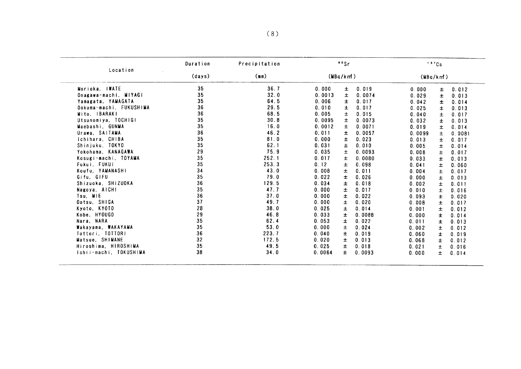|                         | Duration<br>Precipitation<br>Location<br>(days)<br>(mn) |       | $\cdot$ $\cdot$ Sr |       | 137Cs  |          |       |        |
|-------------------------|---------------------------------------------------------|-------|--------------------|-------|--------|----------|-------|--------|
|                         |                                                         |       | (MBq/km)           |       |        | (MBq/km) |       |        |
| Morioka, IWATE          | 35                                                      | 36.7  | 0.000              | Ŧ     | 0.019  | 0.000    | Ŧ     | 0.012  |
| Onagawa-machi, MIYAGI   | 35                                                      | 32.0  | 0.0013             | 士     | 0.0074 | 0.029    | 士     | 0.013  |
| Yamagata, YAMAGATA      | 35                                                      | 64.5  | 0.006              | $\pm$ | 0.017  | 0.042    | Ŧ     | 0.014  |
| Ookuma-machi, FUKUSHIMA | 36                                                      | 29.5  | 0.010              | Ŧ     | 0.017  | 0.025    | Ŧ     | 0.013  |
| Mito, IBARAKI           | 36                                                      | 68.5  | 0.005              | Ŧ.    | 0.015  | 0.040    | Ŧ     | 0.017  |
| Utsunomiya, TOCHIGI     | 35                                                      | 30.8  | 0.0095             | $\pm$ | 0.0073 | 0.032    | Ŧ     | 0.013  |
| Maebashi, GUNMA         | 35                                                      | 16.0  | 0.0012             | 土     | 0.0071 | 0.019    | Ŧ     | 0.014  |
| Urawa, SAITAMA          | 36                                                      | 46.2  | 0.011              | 士     | 0.0057 | 0.0099   | 士     | 0.0081 |
| Ichihara, CHIBA         | 35                                                      | 81.0  | 0.000              | 士     | 0.023  | 0.013    | Ŧ     | 0.017  |
| Shinjuku, TOKYO         | 35                                                      | 62.1  | 0.031              | Ŧ     | 0.010  | 0.005    | ±.    | 0.014  |
| Yokohama, KANAGAWA      | 29                                                      | 75.9  | 0.035              | 士     | 0.0093 | 0.008    | Ŧ.    | 0.017  |
| Kosugi-machi, TOYAMA    | 35                                                      | 252.1 | 0.017              | ±.    | 0.0080 | 0.033    | Ŧ     | 0.013  |
| Fukui, FUKUI            | 35                                                      | 253.3 | 0.12               | 土     | 0.098  | 0.041    | 士     | 0.060  |
| Koufu. YAMANASHI        | 34                                                      | 43.0  | 0.008              | $\pm$ | 0.011  | 0.004    | 士     | 0.017  |
| Gifu, GIFU              | 35                                                      | 79.0  | 0.022              | ±     | 0.026  | 0.000    | 士     | 0.013  |
| Shizuoka, SHIZUOKA      | 36                                                      | 129.5 | 0.034              | 士     | 0.018  | 0.002    | 士     | 0.011  |
| Nagoya, AICHI           | 35                                                      | 47.7  | 0.000              | ±.    | 0.017  | 0.010    | Ŧ     | 0.016  |
| Tsu, MIE                | 36                                                      | 37.0  | 0.000              | 士     | 0.022  | 0.093    | $\pm$ | 0.020  |
| Ootsu, SHIGA            | 37                                                      | 49.7  | 0.000              | Ŧ     | 0.020  | 0.008    | 士     | 0.017  |
| Kyoto, KYOTO            | 28                                                      | 38.0  | 0.025              | 士     | 0.014  | 0.001    | 士     | 0.012  |
| Kobe, HYOUGO            | 29                                                      | 46.8  | 0.033              | ±     | 0.0088 | 0.000    | ±.    | 0.014  |
| Nara, NARA              | 35                                                      | 62.4  | 0.053              | 士     | 0.022  | 0.011    | 士     | 0.013  |
| Wakayama, WAKAYAMA      | 35                                                      | 53.0  | 0.000              | 士     | 0.024  | 0.002    | $\pm$ | 0.012  |
| Tottori, TOTTORI        | 36                                                      | 223.7 | 0.040              | 士     | 0.019  | 0.060    | ±.    | 0.019  |
| Matsue, SHIMANE         | 32                                                      | 172.5 | 0.020              | ±.    | 0.013  | 0.068    | Ŧ.    | 0.012  |
| Hiroshima, HIROSHIMA    | 35                                                      | 49.5  | 0.025              | 土     | 0.018  | 0.021    | ±.    | 0.016  |
| Ishii-machi, TOKUSHIMA  | 38                                                      | 34.0  | 0.0064             | $\pm$ | 0.0093 | 0.000    | 士     | 0.014  |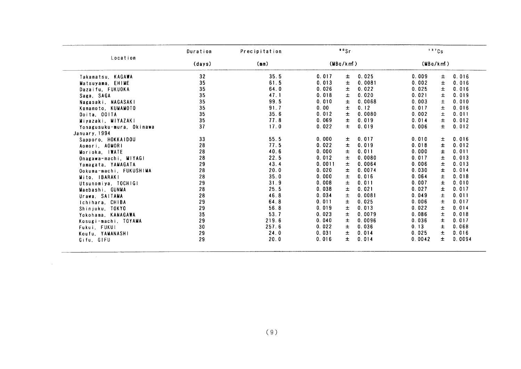| Location                 |        | Precipitation |          | $• •$ Sr |        | 137Cs    |       |        |
|--------------------------|--------|---------------|----------|----------|--------|----------|-------|--------|
|                          | (days) | (mm)          | (MBq/km) |          |        | (MBq/km) |       |        |
| Takamatsu, KAGAWA        | 32     | 35.5          | 0.017    | 士        | 0.025  | 0.009    | ±.    | 0.016  |
| Matsuyama, EHIME         | 35     | 61.5          | 0.013    | 士        | 0.0081 | 0.002    | $\pm$ | 0.016  |
| Dazaifu, FUKUOKA         | 35     | 64.0          | 0.026    | 土        | 0.022  | 0.025    | Ŧ     | 0.016  |
| Saga, SAGA               | 35     | 47.1          | 0.018    | $\pm$    | 0.020  | 0.021    | $\pm$ | 0.019  |
| Nagasaki, NAGASAKI       | 35     | 99.5          | 0.010    | 士        | 0.0068 | 0.003    | $\pm$ | 0.010  |
| Kumamoto, KUMAMOTO       | 35     | 91.7          | 0.00     | Ŧ.       | 0.12   | 0.017    | 土     | 0.016  |
| Ooita, OOITA             | 35     | 35.6          | 0.012    | Ŧ        | 0.0080 | 0.002    | 士     | 0.011  |
| Miyazaki, MIYAZAKI       | 35     | 77.8          | 0.069    | Ŧ.       | 0.019  | 0.014    | 士     | 0.012  |
| Yonagusuku-mura, Okinawa | 37     | 17.0          | 0.022    | Ŧ.       | 0.019  | 0.006    | $\pm$ | 0.012  |
| January, 1994            |        |               |          |          |        |          |       |        |
| Sapporo, HOKKAIDOU       | 33     | 55.5          | 0.000    | Ŧ.       | 0.017  | 0.010    | ±.    | 0.016  |
| Aomori, AOMORI           | 28     | 77.5          | 0.022    | Ŧ        | 0.019  | 0.018    | 士     | 0.012  |
| Morioka, IWATE           | 28     | 40.6          | 0.000    | Ŧ.       | 0.011  | 0.000    | Ŧ.    | 0.011  |
| Onagawa-machi, MIYAGI    | 28     | 22.5          | 0.012    | Ŧ.       | 0.0080 | 0.017    | 士     | 0.013  |
| Yamagata, YAMAGATA       | 29     | 43.4          | 0.0011   | 士        | 0.0064 | 0.006    | $\pm$ | 0.013  |
| Ookuma-machi, FUKUSHIMA  | 28     | 20.0          | 0.020    | Ŧ        | 0.0074 | 0.030    | $\pm$ | 0.014  |
| Mito, IBARAKI            | 28     | 35.0          | 0.000    | 土        | 0.016  | 0.064    | ±.    | 0.018  |
| Utsunomiya, TOCHIGI      | 29     | 31.9          | 0.008    | 士        | 0.011  | 0.007    | Ŧ.    | 0.010  |
| Maebashi, GUNMA          | 28     | 25.5          | 0.038    | $\pm$    | 0.021  | 0.027    | $\pm$ | 0.017  |
| Urawa, SAITAMA           | 28     | 46.8          | 0.034    | $\pm$    | 0.0081 | 0.049    | $\pm$ | 0.011  |
| Ichihara, CHIBA          | 29     | 64.8          | 0.011    | Ŧ        | 0.025  | 0.006    | 土     | 0.017  |
| Shinjuku, TOKYO          | 29     | 56.8          | 0.019    | 土        | 0.013  | 0.022    | $\pm$ | 0.014  |
| Yokohama, KANAGAWA       | 35     | 53.7          | 0.023    | 士        | 0.0079 | 0.086    | 土     | 0.018  |
| Kosugi-machi, TOYAMA     | 29     | 219.6         | 0.040    | Ŧ.       | 0.0096 | 0.036    | $\pm$ | 0.017  |
| Fukui, FUKUI             | 30     | 257.6         | 0.022    | $\pm$    | 0.036  | 0.13     | $\pm$ | 0.068  |
| Koufu, YAMANASHI         | 29     | 24.0          | 0.031    | Ŧ.       | 0.014  | 0.025    | 土     | 0.016  |
| Gifu, GIFU               | 29     | 20.0          | 0.016    | Ŧ.       | 0.014  | 0.0042   | $\pm$ | 0.0094 |

 $\mathcal{L}^{\text{max}}_{\text{max}}$  and  $\mathcal{L}^{\text{max}}_{\text{max}}$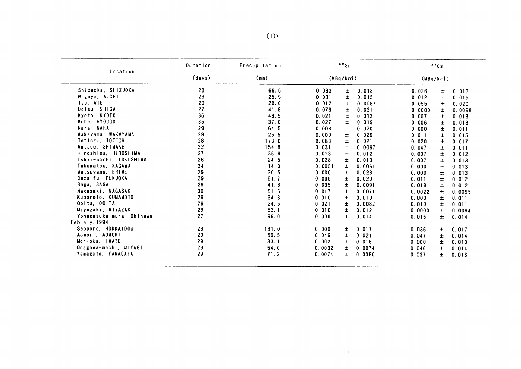|                          | Duration | Precipitation | $°°$ Sr |          |        | 137Cs  |          |        |  |
|--------------------------|----------|---------------|---------|----------|--------|--------|----------|--------|--|
| Location                 | (days)   | (mn)          |         | (MBq/km) |        |        | (MBq/km) |        |  |
| Shizuoka, SHIZUOKA       | 28       | 66.5          | 0.033   | 土        | 0.018  | 0.026  | 士        | 0.013  |  |
| Nagoya, AICHI            | 29       | 25.9          | 0.031   | 土        | 0.015  | 0.012  | $\pm$    | 0.015  |  |
| Tsu, MIE                 | 29       | 20.0          | 0.012   | $\pm$    | 0.0087 | 0.055  | Ŧ        | 0.020  |  |
| Ootsu, SHIGA             | 27       | 41.8          | 0.073   | 士        | 0.031  | 0.0000 | 土        | 0.0098 |  |
| Kyoto, KYOTO             | 36       | 43.5          | 0.021   | 土        | 0.013  | 0.007  | $\pm$    | 0.013  |  |
| Kobe, HYOUGO             | 35       | 37.0          | 0.027   | $\pm$    | 0.019  | 0.006  | Ŧ        | 0.013  |  |
| Nara, NARA               | 29       | 64.5          | 0.008   | $\pm$    | 0.020  | 0.000  | 士        | 0.011  |  |
| Wakayama, WAKAYAMA       | 29       | 25.5          | 0.000   | 士        | 0.026  | 0.011  | 士        | 0.015  |  |
| Tottori, TOTTORI         | 28       | 173.0         | 0.083   | 士        | 0.021  | 0.020  | 士        | 0.017  |  |
| Matsue, SHIMANE          | 32       | 154.8         | 0.031   | $\pm$    | 0.0097 | 0.047  | $\pm$    | 0.011  |  |
| Hiroshima, HIROSHIMA     | 27       | 36.9          | 0.018   | 士        | 0.012  | 0.007  | $\pm$    | 0.012  |  |
| Ishii-machi, TOKUSHIMA   | 28       | 24.5          | 0.028   | Ŧ        | 0.013  | 0.007  | 士        | 0.013  |  |
| Takamatsu, KAGAWA        | 34       | 14.0          | 0.0051  | 土        | 0.0061 | 0.000  | ±        | 0.013  |  |
| Matsuyama, EHIME         | 29       | 30.5          | 0.000   | Ŧ        | 0.023  | 0.000  | $\pm$    | 0.013  |  |
| Dazaifu, FUKUOKA         | 29       | 61.7          | 0.005   | 士        | 0.020  | 0.011  | Ŧ        | 0.012  |  |
| Saga, SAGA               | 29       | 41.8          | 0.035   | Ŧ        | 0.0091 | 0.019  | 士        | 0.012  |  |
| Nagasaki, NAGASAKI       | 30       | 51.5          | 0.017   | 士        | 0.0071 | 0.0022 | 士        | 0.0095 |  |
| Kumamoto, KUMAMOTO       | 29       | 34.8          | 0.010   | 土        | 0.019  | 0.000  | 士        | 0.011  |  |
| Ooita, OOITA             | 29       | 24.5          | 0.021   | $\pm$    | 0.0082 | 0.019  | ±.       | 0.011  |  |
| Miyazaki, MIYAZAKI       | 29       | 53.1          | 0.010   | Ŧ        | 0.012  | 0.0000 | $\pm$    | 0.0094 |  |
| Yonagusuku-mura, Okinawa | 27       | 96.0          | 0.000   | 士        | 0.014  | 0.015  | $\pm$    | 0.014  |  |
| Febraly, 1994            |          |               |         |          |        |        |          |        |  |
| Sapporo, HOKKAIDOU       | 28       | 131.0         | 0.000   | ±.       | 0.017  | 0.036  | 士        | 0.017  |  |
| Aomori, AOMORI           | 29       | 59.5          | 0.046   | ±.       | 0.021  | 0.047  | $\pm$    | 0.014  |  |
| Morioka, IWATE           | 29       | 33.1          | 0.002   | ±.       | 0.016  | 0.000  | ±.       | 0.010  |  |
| Onagawa-machi, MIYAGI    | 29       | 54.0          | 0.0032  | 士        | 0.0074 | 0.046  | 士        | 0.014  |  |
| Yamagata, YAMAGATA       | 29       | 71.2          | 0.0074  | ±.       | 0.0080 | 0.037  | ±.       | 0.016  |  |

 $\mathcal{L}^{\text{max}}_{\text{max}}$  . The  $\mathcal{L}^{\text{max}}_{\text{max}}$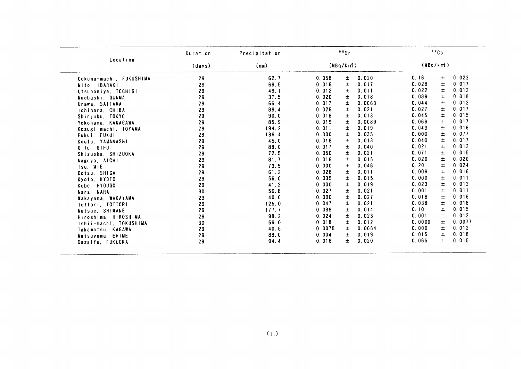|                         | Duration | Precipitation | 90Sr                          | 137Cs                   |
|-------------------------|----------|---------------|-------------------------------|-------------------------|
| Location                | (days)   | (mm)          | (MBq/km)                      | (MBq/km!)               |
| Ookuma-machi, FUKUSHIMA | 29       | 62.7          | 0.020<br>$\pm$<br>0.058       | 0.023<br>0.16<br>±.     |
| Mito, IBARAKI           | 29       | 69.5          | 土<br>0.017<br>0.016           | 0.028<br>士<br>0.017     |
| Utsunomiya, TOCHIGI     | 29       | 49.1          | 0.011<br>0.012<br>Ŧ.          | Ŧ<br>0.022<br>0.012     |
| Maebashi, GUNMA         | 29       | 37.5          | 0.018<br>0.020<br>Ŧ           | 0.089<br>士<br>0.018     |
| Urawa, SAITAMA          | 29       | 66.4          | 土<br>0.0063<br>0.017          | 0.044<br>Ŧ.<br>0.012    |
| Ichihara, CHIBA         | 29       | 89.4          | 0.026<br>士<br>0.021           | 0.027<br>$\pm$<br>0.017 |
| Shinjuku, TOKYO         | 29       | 90.0          | 0.013<br>$\pmb{\pm}$<br>0.016 | 0.015<br>0.045<br>±.    |
| Yokohama, KANAGAWA      | 29       | 85.9          | 0.0089<br>$\pm$<br>0.019      | 0.069<br>0.017<br>士     |
| Kosugi-machi, TOYAMA    | 29       | 194.2         | 0.019<br>0.011<br>$\pm$       | 0.043<br>Ŧ.<br>0.016    |
| Fukui, FUKUI            | 28       | 136.4         | 0.035<br>0.000<br>$\pm$       | 0.000<br>$\pm$<br>0.077 |
| Koufu, YAMANASHI        | 29       | 45.0          | 0.013<br>0.016<br>土           | 0.040<br>0.017<br>土     |
| Gifu, GIFU              | 29       | 88.0          | 0.040<br>0.017<br>士           | 0.021<br>0.013<br>Ŧ     |
| Shizuoka, SHIZUOKA      | 29       | 72.5          | 0.050<br>0.021<br>士           | 0.015<br>0.071<br>Ŧ.    |
| Nagoya, AICHI           | 29       | 81.7          | 0.015<br>0.016<br>$\pm$       | 0.020<br>$\pm$<br>0.020 |
| Tsu, MIE                | 29       | 73.5          | 0.046<br>0.000<br>Ŧ           | 0.20<br>0.024<br>Ŧ      |
| Ootsu, SHIGA            | 29       | 61.2          | 0.011<br>0.026<br>±           | 0.009<br>±<br>0.016     |
| Kyoto, KYOTO            | 29       | 56.0          | 0.015<br>0.035<br>土           | 0.000<br>$\pm$<br>0.011 |
| Kobe, HYOUGO            | 29       | 41.2          | 0.019<br>0.000<br>$\pm$       | 0.013<br>0.023<br>Ŧ.    |
| Nara, NARA              | 30       | 56.8          | 0.021<br>0.027<br>±           | 0.001<br>0.011<br>±     |
| Wakayama, WAKAYAMA      | 23       | 40.0          | 0.027<br>0,000<br>土           | 土<br>0.018<br>0.016     |
| Tottori, TOTTORI        | 29       | 125.0         | 0.021<br>0.047<br>Ŧ           | $\pm$<br>0.018<br>0.038 |
| Matsue, SHIMANE         | 29       | 177.7         | $\pm$<br>0.014<br>0.039       | 0.10<br>Ŧ<br>0.015      |
| Hiroshima, HIROSHIMA    | 29       | 98.2          | 0.023<br>0.024<br>$\pm$       | 0.001<br>土<br>0.012     |
| Ishii-machi, TOKUSHIMA  | 30       | 59.0          | $\pm$<br>0.018<br>0.012       | ±<br>0.0077<br>0.0000   |
| Takamatsu, KAGAWA       | 29       | 40.5          | $\pm$<br>0.0064<br>0.0075     | 0.000<br>Ŧ.<br>0.012    |
| Matsuyama, EHIME        | 29       | 88.0          | $\pm$<br>0.019<br>0.004       | 0.015<br>土<br>0.018     |
| Dazaifu, FUKUOKA        | 29       | 94.4          | 0.016<br>Ŧ.<br>0.020          | 0.065<br>$\pm$<br>0.015 |
|                         |          |               |                               |                         |
|                         |          |               |                               |                         |
|                         |          |               |                               |                         |
|                         |          |               |                               |                         |
|                         |          |               |                               |                         |
|                         |          |               |                               |                         |
|                         |          | (11)          |                               |                         |
|                         |          |               |                               |                         |

 $\mathcal{L}(\mathcal{A})$  and  $\mathcal{L}(\mathcal{A})$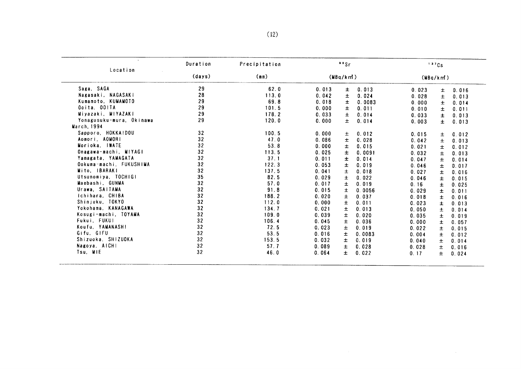| Location                 | Duration       | Precipitation | $^{\circ}$ $^{\circ}$ Sr |       |        | 137Cs    |       |       |
|--------------------------|----------------|---------------|--------------------------|-------|--------|----------|-------|-------|
|                          | (days)<br>(mn) |               | (MBq/km)                 |       |        | (MBq/km) |       |       |
| Saga SAGA                | 29             | 62.0          | 0.013                    | ±.    | 0.013  | 0.023    | ±.    | 0.016 |
| Nagasaki, NAGASAKI       | 28             | 113.0         | 0.042                    | 士     | 0.024  | 0.028    | 士     | 0.013 |
| Kumamoto, KUMAMOTO       | 29             | 69.8          | 0.018                    | 土     | 0.0083 | 0.000    | $\pm$ | 0.014 |
| Ooita, OOITA             | 29             | 101.5         | 0.000                    | 士     | 0.011  | 0.010    | ±.    | 0.011 |
| Miyazaki, MIYAZAKI       | 29             | 178.2         | 0.033                    | $\pm$ | 0.014  | 0.033    | 士     | 0.013 |
| Yonagusuku-mura, Okinawa | 29             | 120.0         | 0.000                    | 土     | 0.014  | 0.003    | $\pm$ | 0.013 |
| March, 1994              |                |               |                          |       |        |          |       |       |
| Sapporo, HOKKAIDOU       | 32             | 100.5         | 0.000                    | 士     | 0.012  | 0.015    | 士     | 0.012 |
| Aomori AOMORI            | 32             | 47.0          | 0.086                    | ±     | 0.028  | 0.042    | ±.    | 0.013 |
| Morioka, IWATE           | 32             | 53.8          | 0.000                    | 士     | 0.015  | 0.021    | $\pm$ | 0.012 |
| Onagawa-machi, MIYAGI    | 32             | 113.5         | 0.025                    | 土     | 0.0091 | 0.032    | 士     | 0.013 |
| Yamagata, YAMAGATA       | 32             | 37.1          | 0.011                    | ±     | 0.014  | 0.047    | Ŧ.    | 0.014 |
| Ookuma-machi, FUKUSHIMA  | 32             | 122.3         | 0.053                    | 土     | 0.019  | 0.046    | $\pm$ | 0.017 |
| Mito, IBARAKI            | 32             | 137.5         | 0.041                    | 士     | 0.018  | 0.027    | Ŧ     | 0.016 |
| Utsunomiya, TOCHIGI      | 35             | 82.5          | 0.029                    | Ŧ     | 0.022  | 0.046    | ±.    | 0.015 |
| Maebashi, GUNMA          | 32             | 57.0          | 0.017                    | ±.    | 0.019  | 0.16     | Ŧ.    | 0.025 |
| Urawa, SAITAMA           | 32             | 91.8          | 0.015                    | ±.    | 0.0056 | 0.029    | ±.    | 0.011 |
| Ichihara, CHIBA          | 32             | 188.2         | 0.020                    | 士     | 0.037  | 0.018    | ±.    | 0.016 |
| Shinjuku, TOKYO          | 32             | 112.0         | 0.000                    | $\pm$ | 0.011  | 0.023    | ±.    | 0.013 |
| Yokohama, KANAGAWA       | 32             | 134.7         | 0.021                    | Ŧ     | 0.013  | 0.050    | 士     | 0.014 |
| Kosugi-machi, TOYAMA     | 32             | 109.0         | 0.039                    | $\pm$ | 0.020  | 0.035    | $\pm$ | 0.019 |
| Fukui, FUKUI             | 32             | 106.4         | 0.045                    | Ŧ     | 0.036  | 0.000    | 士     | 0.057 |
| Koufu, YAMANASHI         | 32             | 72.5          | 0.023                    | 士     | 0.019  | 0.022    | 士     | 0.015 |
| Gifu, GIFU               | 32             | 53.5          | 0.016                    | $\pm$ | 0.0083 | 0.004    | 士     | 0.012 |
| Shizuoka, SHIZUOKA       | 32             | 153.5         | 0.032                    | $\pm$ | 0.019  | 0.040    | $\pm$ | 0.014 |
| Nagoya, AICHI            | 32             | 57.7          | 0.089                    | 士     | 0.028  | 0.028    | $\pm$ | 0.016 |
| Tsu, MIE                 | 32             | 46.0          | 0.064                    | ±.    | 0.022  | 0.17     | 士     | 0.024 |

 $\sim 10^{-1}$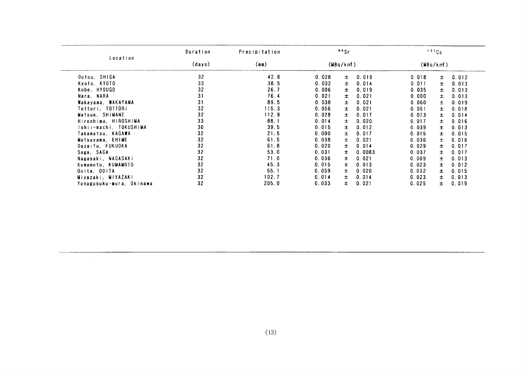|                                                                                                                                                                                                                                                                                                                                                                                | Duration | Precipitation | 99Sr           |        | 137Cs |                |  |
|--------------------------------------------------------------------------------------------------------------------------------------------------------------------------------------------------------------------------------------------------------------------------------------------------------------------------------------------------------------------------------|----------|---------------|----------------|--------|-------|----------------|--|
| Location<br>Ootsu, SHIGA<br>Kyoto, KYOTO<br>Kobe, HYOUGO<br>Nara, NARA<br>Wakayama, WAKAYAMA<br>Tottori, TOTTORI<br>Matsue, SHIMANE<br>Hiroshima, HIROSHIMA<br>Ishii-machi, TOKUSHIMA<br>Takamatsu. KAGAWA<br>Matsuyama, EHIME<br>Dazaifu, FUKUOKA<br>Saga, SAGA<br>Nagasaki, NAGASAKI<br>Kumamoto, KUMAMOTO<br>Ooita, OOITA<br>Miyazaki, MIYAZAKI<br>Yonagusuku-mura, Okinawa | (days)   | (mn)          | (MBq/km)       |        |       | (MBq/km)       |  |
|                                                                                                                                                                                                                                                                                                                                                                                | 32       | 42.8          | 0.028<br>Ŧ.    | 0.019  | 0.018 | 0.012<br>土     |  |
|                                                                                                                                                                                                                                                                                                                                                                                | 33       | 38.5          | 0.032<br>土     | 0.014  | 0.011 | Ŧ<br>0.013     |  |
|                                                                                                                                                                                                                                                                                                                                                                                | 32       | 26.7          | Ŧ<br>0.006     | 0.019  | 0.035 | 0.013<br>Ŧ     |  |
|                                                                                                                                                                                                                                                                                                                                                                                | 31       | 76.4          | $\pm$<br>0.021 | 0.021  | 0.000 | 0.013<br>士     |  |
|                                                                                                                                                                                                                                                                                                                                                                                | 31       | 89.5          | 0.038<br>士     | 0.021  | 0.060 | 0.019<br>土     |  |
|                                                                                                                                                                                                                                                                                                                                                                                | 32       | 115.3         | 0.056<br>士     | 0.021  | 0.061 | 0.018<br>Ŧ     |  |
|                                                                                                                                                                                                                                                                                                                                                                                | 32       | 112.9         | 0.028<br>$\pm$ | 0.017  | 0.073 | $\pm$<br>0.014 |  |
|                                                                                                                                                                                                                                                                                                                                                                                | 33       | 88.1          | Ŧ<br>0.014     | 0.020  | 0.017 | $\pm$<br>0.016 |  |
|                                                                                                                                                                                                                                                                                                                                                                                | 30       | 39.5          | 0.015<br>Ŧ     | 0.012  | 0.039 | Ŧ<br>0.013     |  |
|                                                                                                                                                                                                                                                                                                                                                                                | 32       | 21.5          | 0.000<br>Ŧ     | 0.017  | 0.015 | 0.015<br>Ŧ     |  |
|                                                                                                                                                                                                                                                                                                                                                                                | 32       | 61.5          | 0.038<br>Ŧ.    | 0.021  | 0.036 | 0.016<br>$\pm$ |  |
|                                                                                                                                                                                                                                                                                                                                                                                | 32       | 61.8          | 0.020<br>Ŧ.    | 0.014  | 0.029 | $\pm$<br>0.017 |  |
|                                                                                                                                                                                                                                                                                                                                                                                | 32       | 53.0          | 0.031<br>土     | 0.0083 | 0.037 | 0.017<br>Ŧ     |  |
|                                                                                                                                                                                                                                                                                                                                                                                | 32       | 71.0          | 0.036<br>Ŧ.    | 0.021  | 0.009 | 0.013<br>士     |  |
|                                                                                                                                                                                                                                                                                                                                                                                | 32       | 45.3          | 0.015<br>Ŧ.    | 0.013  | 0.023 | 0.012<br>Ŧ     |  |
|                                                                                                                                                                                                                                                                                                                                                                                | 32       | 55.1          | 0.059<br>Ŧ.    | 0.020  | 0.032 | 0.015<br>Ŧ.    |  |
|                                                                                                                                                                                                                                                                                                                                                                                | 32       | 102.7         | 0.014<br>Ŧ     | 0.014  | 0.023 | $\pm$<br>0.013 |  |
|                                                                                                                                                                                                                                                                                                                                                                                | 32       | 205.0         | Ŧ.<br>0.033    | 0.021  | 0.025 | 0.019<br>$\pm$ |  |
|                                                                                                                                                                                                                                                                                                                                                                                |          |               |                |        |       |                |  |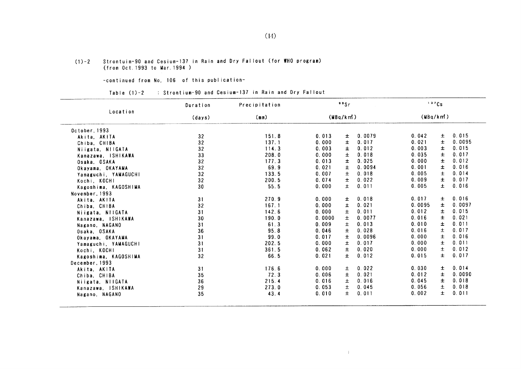#### Strontuim-90 and Cesium-137 in Rain and Dry Fallout (for WHO program) (from Oct. 1993 to Mar. 1994)  $(1) - 2$

-COntinued from No.106 0f this publication-

Table (1)-2 : Strontium-90 and Cesium-137 in Rain and Dry Fallout

|                      | Duration | Precipitation |        | 99Sr     |        |          | 137Cs |        |
|----------------------|----------|---------------|--------|----------|--------|----------|-------|--------|
| Location             | (days)   | (mm)          |        | (MBq/km) |        | (MBq/km) |       |        |
| October 1993         |          |               |        |          |        |          |       |        |
| Akita, AKITA         | 32       | 151.8         | 0.013  | Ŧ        | 0.0079 | 0.042    | 士     | 0.015  |
| Chiba, CHIBA         | 32       | 137.1         | 0.000  | 土        | 0.017  | 0.021    | Ŧ     | 0.0095 |
| Niigata, NIIGATA     | 32       | 114.3         | 0.003  | 士        | 0.012  | 0.003    | 士     | 0.015  |
| Kanazawa, ISHIKAWA   | 33       | 208.0         | 0.000  | 士        | 0.018  | 0.035    | 士     | 0.017  |
| Osaka, OSAKA         | 32       | 177.3         | 0.013  | $\pm$    | 0.025  | 0.000    | $\pm$ | 0.012  |
| Okayama, OKAYAMA     | 32       | 69.9          | 0.021  | $\pm$    | 0.0094 | 0.001    | 士     | 0.016  |
| Yamaguchi, YAMAGUCHI | 32       | 133.5         | 0.007  | $\pm$    | 0.018  | 0.005    | $\pm$ | 0.014  |
| Kochi, KOCHI         | 32       | 200.5         | 0.074  | $\pm$    | 0.022  | 0.009    | $\pm$ | 0.017  |
| Kagoshima, KAGOSHIMA | 30       | 55.5          | 0.000  | 士        | 0.011  | 0.005    | $\pm$ | 0.016  |
| November, 1993       |          |               |        |          |        |          |       |        |
| Akita, AKITA         | 31       | 270.9         | 0.000  | Ŧ        | 0.018  | 0.017    | ±.    | 0.016  |
| Chiba, CHIBA         | 32       | 167.1         | 0.000  | 士        | 0.021  | 0.0095   | 士     | 0.0097 |
| Niigata, NIIGATA     | 31       | 142.6         | 0.000  | Ŧ        | 0.011  | 0.012    | $\pm$ | 0.015  |
| Kanazawa, ISHIKAWA   | 30       | 190.0         | 0.0000 | $\pm$    | 0.0077 | 0.016    | $\pm$ | 0.021  |
| Nagano, NAGANO       | 31       | 61.3          | 0.009  | 土        | 0.013  | 0.010    | Ŧ     | 0.011  |
| Osaka, OSAKA         | 36       | 95.8          | 0.046  | 土        | 0.028  | 0.016    | $\pm$ | 0.017  |
| Okayama, OKAYAMA     | 31       | 99.0          | 0.017  | Ŧ        | 0.0096 | 0.000    | $\pm$ | 0.016  |
| Yamaguchi, YAMAGUCHI | 31       | 202.5         | 0.000  | 士        | 0.017  | 0.000    | $\pm$ | 0.011  |
| Kochi, KOCHI         | 31       | 361.5         | 0.062  | $\pm$    | 0.020  | 0.000    | $\pm$ | 0.012  |
| Kagoshima, KAGOSHIMA | 32       | 66.5          | 0.021  | $\pm$    | 0.012  | 0.015    | $\pm$ | 0.017  |
| December, 1993       |          |               |        |          |        |          |       |        |
| Akita, AKITA         | 31       | 176.6         | 0.000  | ±.       | 0.022  | 0.030    | ±.    | 0.014  |
| Chiba, CHIBA         | 35       | 72.3          | 0.006  | Ŧ        | 0.021  | 0.012    | 士     | 0.0090 |
| Niigata, NIIGATA     | 36       | 215.4         | 0.016  | 士        | 0.016  | 0.045    | ±     | 0.018  |
| Kanazawa, ISHIKAWA   | 29       | 273.0         | 0.053  | ±        | 0.045  | 0.056    | 土     | 0.018  |
| Nagano, NAGANO       | 35       | 43.4          | 0.010  | Ŧ.       | 0.011  | 0.002    | ±.    | 0.011  |
|                      |          |               |        |          |        |          |       |        |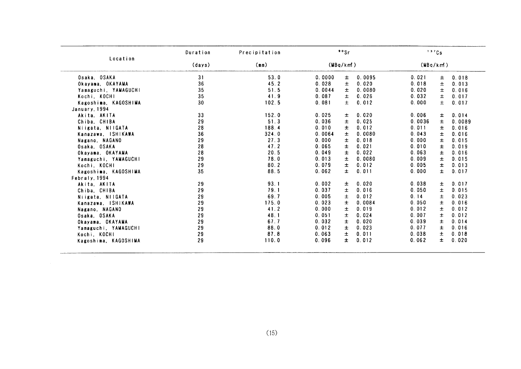|                      | Duration | Precipitation |        | 99Sr      |        |          | 137Cs |        |
|----------------------|----------|---------------|--------|-----------|--------|----------|-------|--------|
| Location             | (days)   | (mn)          |        | (MBa/km!) |        | (MBq/km) |       |        |
| Osaka, OSAKA         | 31       | 53.0          | 0.0000 | 士         | 0.0095 | 0.021    | ±.    | 0.018  |
| Okayama, OKAYAMA     | 36       | 45.2          | 0.028  | 士         | 0.020  | 0.018    | 土     | 0.013  |
| Yamaguchi, YAMAGUCHI | 35       | 51.5          | 0.0044 | Ŧ.        | 0.0080 | 0.020    | Ŧ     | 0.016  |
| Kochi, KOCHI         | 35       | 41.9          | 0.087  | $\pm$     | 0.026  | 0.032    | $\pm$ | 0.017  |
| Kagoshima, KAGOSHIMA | 30       | 102.5         | 0.081  | $\pm$     | 0.012  | 0.000    | 士     | 0.017  |
| January, 1994        |          |               |        |           |        |          |       |        |
| Akita, AKITA         | 33       | 152.0         | 0.025  | Ŧ.        | 0.020  | 0.006    | ±.    | 0.014  |
| Chiba, CHIBA         | 29       | 51.3          | 0.036  | 士         | 0.025  | 0.0036   | 士     | 0.0089 |
| Niigata, NIIGATA     | 28       | 188.4         | 0.010  | Ŧ         | 0.012  | 0.011    | ±.    | 0.016  |
| Kanazawa, ISHIKAWA   | 36       | 324.0         | 0.0064 | ±         | 0.0080 | 0.043    | 士     | 0.016  |
| Nagano, NAGANO       | 29       | 27.3          | 0.000  | $\pm$     | 0.018  | 0.000    | $\pm$ | 0.015  |
| Osaka, OSAKA         | 28       | 47.2          | 0.065  | $\pm$     | 0.021  | 0.010    | $\pm$ | 0.019  |
| Okayama, OKAYAMA     | 28       | 20.5          | 0.049  | 士         | 0.022  | 0.063    | $\pm$ | 0.016  |
| Yamaguchi, YAMAGUCHI | 29       | 78.0          | 0.013  | 土         | 0.0080 | 0.009    | 士     | 0.015  |
| Kochi, KOCHI         | 29       | 80.2          | 0.079  | $\pm$     | 0.012  | 0.005    | $\pm$ | 0.013  |
| Kagoshima, KAGOSHIMA | 35       | 88.5          | 0.062  | $\pm$     | 0.011  | 0.000    | $\pm$ | 0.017  |
| Febraly 1994         |          |               |        |           |        |          |       |        |
| Akita AKITA          | 29       | 93.1          | 0.002  | Ŧ         | 0.020  | 0.038    | ±.    | 0.017  |
| Chiba, CHIBA         | 29       | 79.1          | 0.037  | $\pm$     | 0.016  | 0.050    | $\pm$ | 0.015  |
| Niigata, NIIGATA     | 29       | 69.7          | 0.005  | 土         | 0.012  | 0.14     | $\pm$ | 0.023  |
| Kanazawa, ISHIKAWA   | 29       | 175.0         | 0.023  | Ŧ.        | 0.0084 | 0.050    | 士     | 0.016  |
| Nagano, NAGANO       | 29       | 41.2          | 0.000  | $\pm$     | 0.019  | 0.012    | $\pm$ | 0.012  |
| Osaka, OSAKA         | 29       | 48.1          | 0.051  | Ŧ         | 0.024  | 0.007    | $\pm$ | 0.012  |
| Okayama, OKAYAMA     | 29       | 67.7          | 0.032  | Ŧ         | 0.020  | 0.039    | ±     | 0.014  |
| Yamaguchi, YAMAGUCHI | 29       | 88.0          | 0.012  | 士         | 0.023  | 0.077    | 士     | 0.016  |
| Kochi, KOCHI         | 29       | 87.8          | 0.063  | 土         | 0.011  | 0.038    | 士     | 0.018  |
| Kagoshima, KAGOSHIMA | 29       | 110.0         | 0.096  | Ŧ.        | 0.012  | 0.062    | ±.    | 0.020  |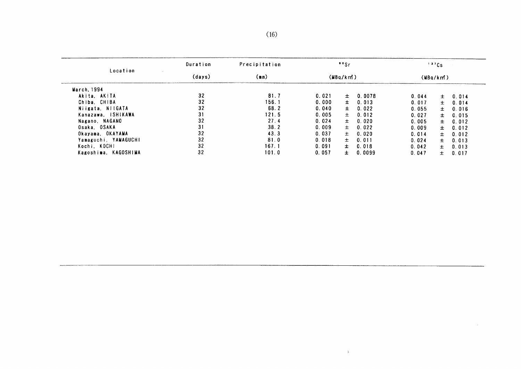|                      | Duration | Precipitation |       | $"$ s    |        |       | 137Cs    |       |
|----------------------|----------|---------------|-------|----------|--------|-------|----------|-------|
| Location             | (days)   | (mn)          |       | (MBq/km) |        |       | (MBq/km) |       |
| March, 1994          |          |               |       |          |        |       |          |       |
| Akita, AKITA         | 32       | 81.7          | 0.021 | $\pm$    | 0.0078 | 0.044 | $\pm$    | 0.014 |
| Chiba, CHIBA         | 32       | 156.1         | 0.000 | $\pm$    | 0.013  | 0.017 | $\pm$    | 0.014 |
| Niigata, NIIGATA     | 32       | 68.2          | 0.040 | $\pm$    | 0.022  | 0.055 | $\pm$    | 0.016 |
| Kanazawa, ISHIKAWA   | 31       | 121.5         | 0.005 | $\pm$    | 0.012  | 0.027 | $\pm$    | 0.015 |
| Nagano, NAGANO       | 32       | 27.4          | 0.024 | $\pm$    | 0.020  | 0.005 | $\pm$    | 0.012 |
| Osaka, OSAKA         | 31       | 38.2          | 0.009 | 士        | 0.022  | 0.009 | $\pm$    | 0.012 |
| Okayama, OKAYAMA     | 32       | 43.3          | 0.037 | $\pm$    | 0.020  | 0.014 | 士        | 0.012 |
| Yamaguchi YAMAGUCHI  | 32       | 81.0          | 0.018 | 士。       | 0.011  | 0.024 | ±.       | 0.013 |
| Kochi, KOCHI         | 32       | 167.1         | 0.091 | 士。       | 0.018  | 0.042 | $\pm$    | 0.013 |
| Kagoshima, KAGOSHIMA | 32       | 101.0         | 0.057 | ±.       | 0.0099 | 0.047 | 土        | 0.017 |
|                      |          |               |       |          |        |       |          |       |
|                      |          |               |       |          |        |       |          |       |
|                      |          |               |       |          |        |       |          |       |
|                      |          |               |       |          |        |       |          |       |

 $\mathcal{A}^{\pm}$ 

 $\sim$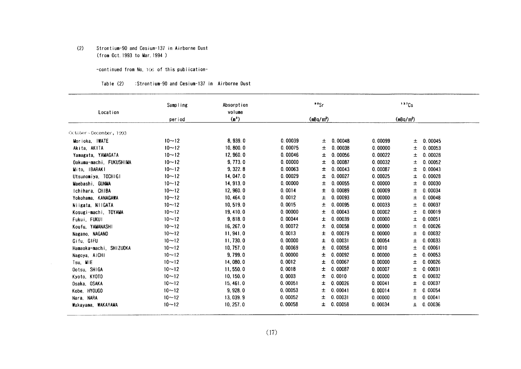#### $(2)$ Strontium-90 and Cesium-137 in Airborne Dust (from Oct. 1993 to Mar. 1994 )

 $\sim$ 

-continued from No. 106 of this publication-

| Table (2) | :Strontium-90 and Cesium-137 in Airborne Dust |  |
|-----------|-----------------------------------------------|--|
|           |                                               |  |

| Location                | Sampling  | Absorption<br>volume |         | 90Sr                  |         | 137Cs                 |  |
|-------------------------|-----------|----------------------|---------|-----------------------|---------|-----------------------|--|
|                         | period    | (m <sup>2</sup> )    |         | (mBq/m <sup>3</sup> ) |         | (mBa/m <sup>3</sup> ) |  |
|                         |           |                      |         |                       |         |                       |  |
| October~December, 1993  |           |                      |         |                       |         |                       |  |
| Morioka, IWATE          | $10 - 12$ | 8,939.0              | 0.00039 | 0.00048<br>±.         | 0.00099 | 0.00045<br>土          |  |
| Akita, AKITA            | $10 - 12$ | 10, 800, 0           | 0.00075 | 0.00038<br>土          | 0.00000 | 土<br>0.00053          |  |
| Yamagata, YAMAGATA      | $10 - 12$ | 12,960.0             | 0.00046 | 0.00056<br>±.         | 0.00022 | 0.00028<br>Ŧ          |  |
| Ookuma-machi, FUKUSHIMA | $10 - 12$ | 9,773.0              | 0.00000 | 0.00087<br>±.         | 0.00032 | 0.00052<br>土          |  |
| Mito, IBARAKI           | $10 - 12$ | 9,322.8              | 0.00063 | 0.00043<br>ᆂ          | 0.00087 | 0.00043<br>土          |  |
| Utsunomiya, TOCHIGI     | $10 - 12$ | 14, 047.0            | 0.00029 | 0.00027<br>±.         | 0.00025 | 0.00028<br>土          |  |
| Maebashi GUNMA          | $10 - 12$ | 14, 913.0            | 0.00000 | 0.00055<br>土          | 0.00000 | 0.00030<br>土          |  |
| Ichihara, CHIBA         | $10 - 12$ | 12,960.0             | 0.0014  | 0.00089<br>±          | 0.00009 | 0.00034<br>土          |  |
| Yokohama, KANAGAWA      | $10 - 12$ | 10, 464.0            | 0.0012  | 0.00093<br>士          | 0.00000 | 0.00048<br>土          |  |
| Niigata, NIIGATA        | $10 - 12$ | 10, 519.0            | 0.0015  | 0.00095<br>土          | 0.00033 | 0.00037<br>土          |  |
| Kosugi-machi, TOYAMA    | $10 - 12$ | 19, 410.0            | 0.00000 | 0.00043<br>±          | 0.00002 | 0.00019<br>士          |  |
| Fukui, FUKUI            | $10 - 12$ | 9,818.0              | 0.00044 | 0.00039<br>±.         | 0.00000 | 0.00051<br>土          |  |
| Koufu, YAMANASHI        | $10 - 12$ | 16, 267.0            | 0.00072 | 0.00058<br>±.         | 0.00000 | 0.00026<br>土          |  |
| Nagano, NAGANO          | $10 - 12$ | 11, 941.0            | 0.0013  | 0.00079<br>Ŧ.         | 0.00000 | 0.00032<br>土          |  |
| Gifu, GIFU              | $10 - 12$ | 11,730.0             | 0.00000 | 0.00031<br>士          | 0.00054 | 0.00033<br>土          |  |
| Hamaoka-machi, SHIZUOKA | $10 - 12$ | 10, 757.0            | 0.00069 | 0.00058<br>土          | 0.0010  | 0.00061<br>土          |  |
| Nagoya, AICHI           | $10 - 12$ | 9,799.0              | 0.00000 | 0.00092<br>Ŧ.         | 0.00000 | 0.00053<br>土          |  |
| Tsu, MIE                | $10 - 12$ | 14,080.0             | 0.0012  | 0.00067<br>Ŧ.         | 0.00000 | 0.00026<br>土          |  |
| Ootsu, SHIGA            | $10 - 12$ | 11,550.0             | 0.0018  | 0.00087<br>±.         | 0.00007 | 0.00031<br>土          |  |
| Kyoto, KYOTO            | $10 - 12$ | 10, 150.0            | 0.0003  | 0.0010<br>士           | 0.00000 | 0.00032<br>±          |  |
| Osaka, OSAKA            | $10 - 12$ | 15, 461.0            | 0.00051 | 0.00026<br>±.         | 0.00041 | 0.00037<br>土          |  |
| Kobe, HYOUGO            | $10 - 12$ | 9,928.0              | 0.00053 | 0.00041<br>士          | 0.00014 | 0.00054<br>土          |  |
| Nara, NARA              | $10 - 12$ | 13, 039.9            | 0.00052 | 0.00031<br>±.         | 0.00000 | 0.00041<br>土          |  |
| Wakayama, WAKAYAMA      | $10 - 12$ | 10, 257.0            | 0.00058 | 0.00058<br>±.         | 0.00034 | 0.00036<br>土          |  |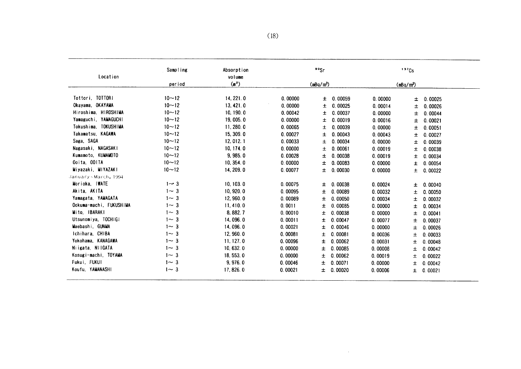| Location                | Sampling   | Absorption<br>volume |         | " <sup>so</sup> Sr    |         |         | 137Cs                 |         |
|-------------------------|------------|----------------------|---------|-----------------------|---------|---------|-----------------------|---------|
|                         | period     | (m <sup>2</sup> )    |         | (mBq/m <sup>3</sup> ) |         |         | (mBq/m <sup>3</sup> ) |         |
| Tottori, TOTTORI        | $10 - 12$  | 14, 221.0            | 0.00000 | 土                     | 0.00059 | 0.00000 | Ŧ                     | 0.00025 |
| Okayama, OKAYAMA        | $10 - 12$  | 13, 421.0            | 0.00000 | ±.                    | 0.00025 | 0.00014 | 土                     | 0.00026 |
| Hiroshima, HIROSHIMA    | $10 - 12$  | 10, 190.0            | 0.00042 | ±                     | 0.00037 | 0.00000 | 士                     | 0.00044 |
| Yamaguchi, YAMAGUCHI    | $10 - 12$  | 19,005.0             | 0.00000 | Ŧ                     | 0.00019 | 0.00016 | 土                     | 0.00021 |
| Tokushima, TOKUSHIMA    | $10 - 12$  | 11, 280.0            | 0.00065 | 士                     | 0.00039 | 0.00000 | 土                     | 0.00051 |
| Takamatsu, KAGAWA       | $10 - 12$  | 15, 309.0            | 0.00027 | Ŧ.                    | 0.00043 | 0.00043 | 士                     | 0.00027 |
| Saga, SAGA              | $10 - 12$  | 12, 012.1            | 0.00033 | Ŧ.                    | 0.00034 | 0.00000 | 士                     | 0.00039 |
| Nagasaki, NAGASAKI      | $10 - 12$  | 10, 174.0            | 0.00000 | Ŧ.                    | 0.00061 | 0.00019 | 土                     | 0.00038 |
| Kumamoto, KUMAMOTO      | $10 - 12$  | 9,985.0              | 0.00028 | Ŧ.                    | 0.00038 | 0.00019 | 士                     | 0.00034 |
| Ooita, OOITA            | $10 - 12$  | 10, 354.0            | 0.00000 | Ŧ.                    | 0.00083 | 0.00000 | Ŧ                     | 0.00054 |
| Miyazaki, MIYAZAKI      | $10 - 12$  | 14, 209.0            | 0.00077 | Ŧ.                    | 0.00030 | 0.00000 | Ŧ                     | 0.00022 |
| January~March, 1994     |            |                      |         |                       |         |         |                       |         |
| Morioka, IWATE          | $1 - 3$    | 10, 103.0            | 0.00075 | ±.                    | 0.00038 | 0.00024 | Ŧ.                    | 0.00040 |
| Akita, AKITA            | $1 \sim 3$ | 10,920.0             | 0.00095 | Ŧ                     | 0.00089 | 0.00032 | Ŧ                     | 0.00050 |
| Yamagata, YAMAGATA      | $1 - 3$    | 12,960.0             | 0.00089 | Ŧ                     | 0.00050 | 0.00034 | 士                     | 0.00032 |
| Ookuma-machi, FUKUSHIMA | $1 - 3$    | 11, 410.0            | 0.0011  | Ŧ.                    | 0.00085 | 0.00000 | 土                     | 0.00034 |
| Mito, IBARAKI           | $1 \sim 3$ | 8, 882. 7            | 0.00010 | Ŧ.                    | 0.00038 | 0.00000 | 土                     | 0.00041 |
| Utsunomiya, TOCHIGI     | $1 - 3$    | 14,096.0             | 0.00011 | ±.                    | 0.00047 | 0.00077 | Ŧ                     | 0.00037 |
| Maebashi, GUNMA         | $1 - 3$    | 14,096.0             | 0.00021 | Ŧ.                    | 0.00046 | 0.00000 | Ŧ.                    | 0.00026 |
| Ichihara, CHIBA         | $1 - 3$    | 12,960.0             | 0.00081 | Ŧ.                    | 0.00081 | 0.00036 | 土                     | 0.00033 |
| Yokohama, KANAGAWA      | $1 - 3$    | 11, 127.0            | 0.00096 | Ŧ.                    | 0.00062 | 0.00031 | ±.                    | 0.00048 |
| Niigata NIIGATA         | $1 - 3$    | 10, 632.0            | 0.00000 | 士                     | 0.00085 | 0.00008 | $\pm$                 | 0.00042 |
| Kosugi-machi, TOYAMA    | $1 - 3$    | 18, 553.0            | 0.00000 | Ŧ                     | 0.00062 | 0.00019 | 土                     | 0.00022 |
| Fukui, FUKUI            | $1 - 3$    | 9,976.0              | 0.00046 | Ŧ.                    | 0.00071 | 0.00000 | Ŧ                     | 0.00042 |
| Koufu, YAMANASHI        | $1 - 3$    | 17, 826.0            | 0.00021 | $\pm$                 | 0.00020 | 0.00006 | $\pm$                 | 0.00021 |

 $\mathcal{L}^{\text{max}}_{\text{max}}$  and  $\mathcal{L}^{\text{max}}_{\text{max}}$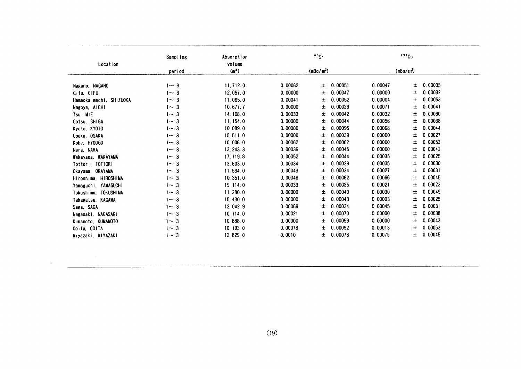| Sampling   | Absorption                                                                                         |                                                                                                                                                                                    | " <sup>s</sup> "Sr                                                                                                   |                                                                                                                                                          | 137Cs                                                                                |
|------------|----------------------------------------------------------------------------------------------------|------------------------------------------------------------------------------------------------------------------------------------------------------------------------------------|----------------------------------------------------------------------------------------------------------------------|----------------------------------------------------------------------------------------------------------------------------------------------------------|--------------------------------------------------------------------------------------|
|            | volume                                                                                             |                                                                                                                                                                                    |                                                                                                                      |                                                                                                                                                          |                                                                                      |
| period     | (m <sup>2</sup> )                                                                                  |                                                                                                                                                                                    |                                                                                                                      |                                                                                                                                                          | (mBq/m <sup>3</sup> )                                                                |
|            |                                                                                                    |                                                                                                                                                                                    |                                                                                                                      |                                                                                                                                                          |                                                                                      |
|            |                                                                                                    |                                                                                                                                                                                    |                                                                                                                      |                                                                                                                                                          | 0.00035<br>±.                                                                        |
| 1 $\sim$ 3 |                                                                                                    |                                                                                                                                                                                    | ±.                                                                                                                   |                                                                                                                                                          | 0.00032<br>土                                                                         |
| $1 - 3$    | 11,065.0                                                                                           | 0.00041                                                                                                                                                                            | 0.00052<br>±.                                                                                                        | 0.00004                                                                                                                                                  | 0.00053<br>±.                                                                        |
| $1 - 3$    | 10, 677.7                                                                                          | 0.00000                                                                                                                                                                            | 00029<br>0.<br>±.                                                                                                    | 0.00071                                                                                                                                                  | 0.00041<br>±.                                                                        |
| $1 - 3$    | 14, 108, 0                                                                                         | 0.00033                                                                                                                                                                            | 00042<br>0.<br>±.                                                                                                    | 0.00032                                                                                                                                                  | 0.00030<br>土                                                                         |
| $1 - 3$    | 11, 154.0                                                                                          | 0.00000                                                                                                                                                                            | 0.00044<br>±.                                                                                                        | 0.00056                                                                                                                                                  | 0.00038<br>士                                                                         |
| $1 - 3$    | 10,089.0                                                                                           | 0.00000                                                                                                                                                                            | 0.00095<br>±.                                                                                                        | 0.00068                                                                                                                                                  | 0.00044<br>士                                                                         |
| $1 - 3$    | 15, 511.0                                                                                          | 0.00000                                                                                                                                                                            | 00039<br>0.<br>±.                                                                                                    | 0.00000                                                                                                                                                  | 0.00027<br>士                                                                         |
| $1 - 3$    | 10,006.0                                                                                           | 0.00062                                                                                                                                                                            | 00062<br>0.<br>±.                                                                                                    | 0.00000                                                                                                                                                  | 0.00053<br>土                                                                         |
| $1 - 3$    | 13, 243. 3                                                                                         | 0.00036                                                                                                                                                                            | 0.00045<br>±.                                                                                                        | 0.00000                                                                                                                                                  | 0.00042<br>±                                                                         |
| $1 - 3$    |                                                                                                    | 0.00052                                                                                                                                                                            | 0.00044<br>±.                                                                                                        | 0.00035                                                                                                                                                  | 0.00025<br>土                                                                         |
| $1 - 3$    |                                                                                                    |                                                                                                                                                                                    | 00029<br>0.<br>±.                                                                                                    | 0.00035                                                                                                                                                  | 0.00030<br>±                                                                         |
| $1 - 3$    |                                                                                                    | 0.00043                                                                                                                                                                            | 0.<br>00034<br>±.                                                                                                    | 0.00027                                                                                                                                                  | 0.00031<br>±                                                                         |
|            |                                                                                                    |                                                                                                                                                                                    | 0.00062<br>±.                                                                                                        | 0.00066                                                                                                                                                  | 0.00045<br>士                                                                         |
| $1 - 3$    |                                                                                                    | 0.00033                                                                                                                                                                            | 0.00035<br>±.                                                                                                        | 0.00021                                                                                                                                                  | 0.00023<br>±                                                                         |
|            |                                                                                                    |                                                                                                                                                                                    | 00040<br>0.                                                                                                          | 0.00030                                                                                                                                                  | 0.00049<br>土                                                                         |
|            |                                                                                                    |                                                                                                                                                                                    |                                                                                                                      |                                                                                                                                                          | 0.00025<br>士                                                                         |
|            |                                                                                                    |                                                                                                                                                                                    |                                                                                                                      |                                                                                                                                                          | 0.00031<br>±                                                                         |
|            |                                                                                                    |                                                                                                                                                                                    |                                                                                                                      |                                                                                                                                                          | 0.00038<br>±.                                                                        |
|            |                                                                                                    |                                                                                                                                                                                    |                                                                                                                      |                                                                                                                                                          | 0.00043<br>士                                                                         |
|            |                                                                                                    |                                                                                                                                                                                    |                                                                                                                      |                                                                                                                                                          | 0.00053<br>土                                                                         |
|            |                                                                                                    |                                                                                                                                                                                    |                                                                                                                      |                                                                                                                                                          | 0.00045<br>士                                                                         |
|            | $1 - 3$<br>$1 - 3$<br>$1 - 3$<br>$1 - 3$<br>1 $\sim$ 3<br>$1 - 3$<br>1~ 3<br>$1 - 3$<br>1 $\sim$ 3 | 11, 712.0<br>12, 057.0<br>17, 119.8<br>13,603.0<br>11, 534.0<br>10, 351, 0<br>19, 114.0<br>11, 280.0<br>15, 430.0<br>12, 042. 9<br>10, 114.0<br>10,888.0<br>10, 193.0<br>12, 829.0 | 0.00062<br>0.00000<br>0.00034<br>0.00046<br>0.00000<br>0.00000<br>0.00069<br>0.00021<br>0.00000<br>0.00078<br>0.0010 | (mBq/mª)<br>0.00051<br>±.<br>0.00047<br>±.<br>00043<br>0.<br>±.<br>00034<br>0.<br>±.<br>0.00070<br>±.<br>0.00059<br>±.<br>0.00092<br>±.<br>0.00078<br>±. | 0.00047<br>0.00000<br>0.00003<br>0.00045<br>0.00000<br>0.00000<br>0.00013<br>0.00075 |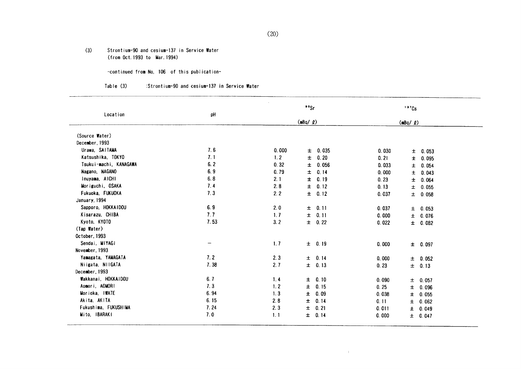$(3)$ Strontium-90 and cesium-137 in Service Water (from Oct. 1993 to Mar. 1994)

-continued from No, 106 of this publication-

#### Table (3) :Strontium-90 and cesium-137 in Service Water

| Location               | pH   |       | " <sup>s</sup> "Sr |       | $137$ Cs       |  |
|------------------------|------|-------|--------------------|-------|----------------|--|
|                        |      |       | $(mBq/ \ell)$      |       | $(mBq / \ell)$ |  |
| (Source Water)         |      |       |                    |       |                |  |
| December, 1993         |      |       |                    |       |                |  |
| Urawa, SAITAMA         | 7.6  | 0.000 | $\pm$ 0.035        | 0.030 | 0.053<br>士     |  |
| Katsushika, TOKYO      | 7.1  | 1.2   | 0.20<br>±.         | 0.21  | 0.095<br>±.    |  |
| Tsukui-machi, KANAGAWA | 6.2  | 0.32  | 0.056<br>±.        | 0.033 | Ŧ.<br>0.054    |  |
| Nagano, NAGANO         | 6.9  | 0.79  | 0.14<br>士          | 0.000 | ŧ.<br>0.043    |  |
| Inuyama, AICHI         | 6.8  | 2.1   | Ŧ<br>0.19          | 0.23  | 0.064<br>±.    |  |
| Moriguchi, OSAKA       | 7.4  | 2.8   | Ŧ.<br>0.12         | 0.13  | 0.055<br>Ŧ.    |  |
| Fukuoka, FUKUOKA       | 7.3  | 2.2   | Ŧ.<br>0.12         | 0.037 | $\pm$ 0.058    |  |
| January, 1994          |      |       |                    |       |                |  |
| Sapporo, HOKKAIDOU     | 6.9  | 2.0   | ± 0.11             | 0.037 | $\pm$ 0.053    |  |
| Kisarazu, CHIBA        | 7.7  | 1.7   | $\pm$<br>0.11      | 0.000 | ± 0.076        |  |
| Kyoto, KYOTO           | 7.53 | 3.2   | $\pm 0.22$         | 0.022 | ± 0.082        |  |
| (Tap Water)            |      |       |                    |       |                |  |
| October, 1993          |      |       |                    |       |                |  |
| Sendai, MIYAGI         | —    | 1.7   | ± 0.19             | 0.000 | $\pm 0.097$    |  |
| November, 1993         |      |       |                    |       |                |  |
| Yamagata, YAMAGATA     | 7.2  | 2.3   | ± 0.14             | 0.000 | ± 0.052        |  |
| Niigata, NIIGATA       | 7.38 | 2.7   | ± 0.13             | 0.23  | $\pm$ 0.13     |  |
| December, 1993         |      |       |                    |       |                |  |
| Wakkanai, HOKKAIDOU    | 6.7  | 1.4   | $\pm 0.10$         | 0.090 | ± 0.057        |  |
| Aomori, AOMORI         | 7.3  | 1.2   | 0.15<br>士          | 0.25  | $\pm$<br>0.096 |  |
| Morioka, IWATE         | 6.94 | 1.3   | 0.09<br>士          | 0.038 | ± 0.055        |  |
| Akita, AKITA           | 6.15 | 2.8   | 0.14<br>$\pm$      | 0.11  | $\pm$ 0.062    |  |
| Fukushima, FUKUSHIMA   | 7.24 | 2.3   | 0.21<br>$\pm$      | 0.011 | $\pm 0.049$    |  |
| Mito, IBARAKI          | 7.0  | 1.1   | Ŧ.<br>0.14         | 0.000 | ± 0.047        |  |

 $\mathcal{X}$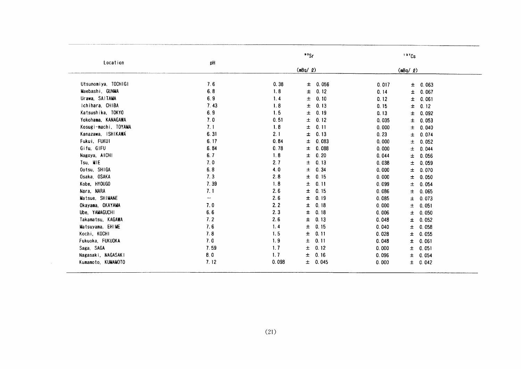| $(mBq/ Q)$<br>(mBq / g)<br>Utsunomiya TOCHIGI<br>7.6<br>0.38<br>± 0.056<br>0.017<br>$\pm$ 0.063<br>Maebashi, GUNMA<br>6.8<br>1.8<br>$\pm$<br>0.12<br>Ŧ<br>0.067<br>0.14<br>Urawa, SAITAMA<br>6.9<br>0.10<br>1.4<br>$\pm$<br>0.12<br>$\pm$<br>0.061<br>Ichihara, CHIBA<br>7.43<br>1.8<br>Ŧ<br>0.13<br>0.12<br>0.15<br>±<br>Katsushika, TOKYO<br>6.9<br>1.5<br>$\pm$<br>0.19<br>0.13<br>0.092<br>±.<br>7.0<br>Yokohama, KANAGAWA<br>0.51<br>0.12<br>Ŧ.<br>0.035<br>0.053<br>Ŧ.<br>Kosugi-machi, TOYAMA<br>7.1<br>1.8<br>0.11<br>士<br>0.040<br>0.000<br>Ŧ.<br>Kanazawa, ISHIKAWA<br>6.31<br>2.1<br>0.13<br>士<br>0.23<br>0.074<br>±.<br>6.17<br>Fukui, FUKUI<br>0.84<br>0.083<br>±.<br>0.000<br>0.052<br>±.<br>Gifu, GIFU<br>6.84<br>0.78<br>0.088<br>±.<br>0.000<br>Ŧ.<br>0.044<br>6.7<br>1.8<br>0.20<br>Nagoya, AICHI<br>士<br>0.044<br>0.056<br>土<br>7.0<br>2.7<br>$\pm$<br>0.13<br>0.038<br>0.059<br>±.<br>6.8<br>4.0<br>$\pm$<br>0.34<br>0.000<br>0.070<br>Ŧ.<br>7.3<br>2.8<br>士<br>0.15<br>0.000<br>0.050<br>土<br>7.39<br>1.8<br>$\pm$<br>0.11<br>0.099<br>土<br>0.054<br>7.1<br>2.6<br>±.<br>0.15<br>0.086<br>0.065<br>±<br>$\overline{\phantom{a}}$<br>2.6<br>±.<br>0.19<br>0.085<br>Ŧ<br>0.073<br>0.18<br>7.0<br>2.2<br>±<br>0.000<br>0.051<br>土<br>6.6<br>2.3<br>0.18<br>±,<br>0.006<br>0.050<br>±.<br>7.2<br>2.6<br>0.13<br>Ŧ<br>0.048<br>士<br>0.052<br>7.6<br>0.15<br>1.4<br>±.<br>0.040<br>$\pm$<br>0.058<br>7.8<br>1.5<br>±.<br>0.11<br>0.028<br>0.055<br>士<br>$\pm$<br>7.0<br>1.9<br>0.11<br>0.048<br>Ŧ<br>0.061<br>7.59<br>1.7<br>$\pm$<br>0.12<br>0.000<br>$\pm$<br>0.051<br>1.7<br>$\pm$<br>0.16<br>8.0<br>0.096<br>$\pm$<br>0.054<br>7.12<br>0.045<br>0.098<br>$\pm$<br>0.000<br>±.<br>0.042 |  |              |    | ${}^{\circ}$ <sup>o</sup> Sr | 137Cs |  |
|-----------------------------------------------------------------------------------------------------------------------------------------------------------------------------------------------------------------------------------------------------------------------------------------------------------------------------------------------------------------------------------------------------------------------------------------------------------------------------------------------------------------------------------------------------------------------------------------------------------------------------------------------------------------------------------------------------------------------------------------------------------------------------------------------------------------------------------------------------------------------------------------------------------------------------------------------------------------------------------------------------------------------------------------------------------------------------------------------------------------------------------------------------------------------------------------------------------------------------------------------------------------------------------------------------------------------------------------------------------------------------------------------------------------------------------------------------------------------------------------------------------------------------------------------------------------------------------------------------------------------------------------------------------------------------------------------------------|--|--------------|----|------------------------------|-------|--|
|                                                                                                                                                                                                                                                                                                                                                                                                                                                                                                                                                                                                                                                                                                                                                                                                                                                                                                                                                                                                                                                                                                                                                                                                                                                                                                                                                                                                                                                                                                                                                                                                                                                                                                           |  | Location     | pH |                              |       |  |
|                                                                                                                                                                                                                                                                                                                                                                                                                                                                                                                                                                                                                                                                                                                                                                                                                                                                                                                                                                                                                                                                                                                                                                                                                                                                                                                                                                                                                                                                                                                                                                                                                                                                                                           |  |              |    |                              |       |  |
|                                                                                                                                                                                                                                                                                                                                                                                                                                                                                                                                                                                                                                                                                                                                                                                                                                                                                                                                                                                                                                                                                                                                                                                                                                                                                                                                                                                                                                                                                                                                                                                                                                                                                                           |  |              |    |                              |       |  |
|                                                                                                                                                                                                                                                                                                                                                                                                                                                                                                                                                                                                                                                                                                                                                                                                                                                                                                                                                                                                                                                                                                                                                                                                                                                                                                                                                                                                                                                                                                                                                                                                                                                                                                           |  |              |    |                              |       |  |
|                                                                                                                                                                                                                                                                                                                                                                                                                                                                                                                                                                                                                                                                                                                                                                                                                                                                                                                                                                                                                                                                                                                                                                                                                                                                                                                                                                                                                                                                                                                                                                                                                                                                                                           |  |              |    |                              |       |  |
|                                                                                                                                                                                                                                                                                                                                                                                                                                                                                                                                                                                                                                                                                                                                                                                                                                                                                                                                                                                                                                                                                                                                                                                                                                                                                                                                                                                                                                                                                                                                                                                                                                                                                                           |  |              |    |                              |       |  |
|                                                                                                                                                                                                                                                                                                                                                                                                                                                                                                                                                                                                                                                                                                                                                                                                                                                                                                                                                                                                                                                                                                                                                                                                                                                                                                                                                                                                                                                                                                                                                                                                                                                                                                           |  |              |    |                              |       |  |
|                                                                                                                                                                                                                                                                                                                                                                                                                                                                                                                                                                                                                                                                                                                                                                                                                                                                                                                                                                                                                                                                                                                                                                                                                                                                                                                                                                                                                                                                                                                                                                                                                                                                                                           |  |              |    |                              |       |  |
|                                                                                                                                                                                                                                                                                                                                                                                                                                                                                                                                                                                                                                                                                                                                                                                                                                                                                                                                                                                                                                                                                                                                                                                                                                                                                                                                                                                                                                                                                                                                                                                                                                                                                                           |  |              |    |                              |       |  |
|                                                                                                                                                                                                                                                                                                                                                                                                                                                                                                                                                                                                                                                                                                                                                                                                                                                                                                                                                                                                                                                                                                                                                                                                                                                                                                                                                                                                                                                                                                                                                                                                                                                                                                           |  |              |    |                              |       |  |
|                                                                                                                                                                                                                                                                                                                                                                                                                                                                                                                                                                                                                                                                                                                                                                                                                                                                                                                                                                                                                                                                                                                                                                                                                                                                                                                                                                                                                                                                                                                                                                                                                                                                                                           |  |              |    |                              |       |  |
|                                                                                                                                                                                                                                                                                                                                                                                                                                                                                                                                                                                                                                                                                                                                                                                                                                                                                                                                                                                                                                                                                                                                                                                                                                                                                                                                                                                                                                                                                                                                                                                                                                                                                                           |  |              |    |                              |       |  |
|                                                                                                                                                                                                                                                                                                                                                                                                                                                                                                                                                                                                                                                                                                                                                                                                                                                                                                                                                                                                                                                                                                                                                                                                                                                                                                                                                                                                                                                                                                                                                                                                                                                                                                           |  | Tsu, MIE     |    |                              |       |  |
| Osaka, OSAKA<br>Kobe, HYOUGO<br>Nara, NARA<br>Matsue, SHIMANE<br>Okayama, OKAYAMA<br>Ube, YAMAGUCHI<br>Takamatsu, KAGAWA<br>Matsuyama, EHIME<br>Kochi, KOCHI<br>Fukuoka, FUKUOKA<br>Saga, SAGA<br>Nagasaki, NAGASAKI<br>Kumamoto, KUMAMOTO                                                                                                                                                                                                                                                                                                                                                                                                                                                                                                                                                                                                                                                                                                                                                                                                                                                                                                                                                                                                                                                                                                                                                                                                                                                                                                                                                                                                                                                                |  | Ootsu, SHIGA |    |                              |       |  |
|                                                                                                                                                                                                                                                                                                                                                                                                                                                                                                                                                                                                                                                                                                                                                                                                                                                                                                                                                                                                                                                                                                                                                                                                                                                                                                                                                                                                                                                                                                                                                                                                                                                                                                           |  |              |    |                              |       |  |
|                                                                                                                                                                                                                                                                                                                                                                                                                                                                                                                                                                                                                                                                                                                                                                                                                                                                                                                                                                                                                                                                                                                                                                                                                                                                                                                                                                                                                                                                                                                                                                                                                                                                                                           |  |              |    |                              |       |  |
|                                                                                                                                                                                                                                                                                                                                                                                                                                                                                                                                                                                                                                                                                                                                                                                                                                                                                                                                                                                                                                                                                                                                                                                                                                                                                                                                                                                                                                                                                                                                                                                                                                                                                                           |  |              |    |                              |       |  |
|                                                                                                                                                                                                                                                                                                                                                                                                                                                                                                                                                                                                                                                                                                                                                                                                                                                                                                                                                                                                                                                                                                                                                                                                                                                                                                                                                                                                                                                                                                                                                                                                                                                                                                           |  |              |    |                              |       |  |
|                                                                                                                                                                                                                                                                                                                                                                                                                                                                                                                                                                                                                                                                                                                                                                                                                                                                                                                                                                                                                                                                                                                                                                                                                                                                                                                                                                                                                                                                                                                                                                                                                                                                                                           |  |              |    |                              |       |  |
|                                                                                                                                                                                                                                                                                                                                                                                                                                                                                                                                                                                                                                                                                                                                                                                                                                                                                                                                                                                                                                                                                                                                                                                                                                                                                                                                                                                                                                                                                                                                                                                                                                                                                                           |  |              |    |                              |       |  |
|                                                                                                                                                                                                                                                                                                                                                                                                                                                                                                                                                                                                                                                                                                                                                                                                                                                                                                                                                                                                                                                                                                                                                                                                                                                                                                                                                                                                                                                                                                                                                                                                                                                                                                           |  |              |    |                              |       |  |
|                                                                                                                                                                                                                                                                                                                                                                                                                                                                                                                                                                                                                                                                                                                                                                                                                                                                                                                                                                                                                                                                                                                                                                                                                                                                                                                                                                                                                                                                                                                                                                                                                                                                                                           |  |              |    |                              |       |  |
|                                                                                                                                                                                                                                                                                                                                                                                                                                                                                                                                                                                                                                                                                                                                                                                                                                                                                                                                                                                                                                                                                                                                                                                                                                                                                                                                                                                                                                                                                                                                                                                                                                                                                                           |  |              |    |                              |       |  |
|                                                                                                                                                                                                                                                                                                                                                                                                                                                                                                                                                                                                                                                                                                                                                                                                                                                                                                                                                                                                                                                                                                                                                                                                                                                                                                                                                                                                                                                                                                                                                                                                                                                                                                           |  |              |    |                              |       |  |
|                                                                                                                                                                                                                                                                                                                                                                                                                                                                                                                                                                                                                                                                                                                                                                                                                                                                                                                                                                                                                                                                                                                                                                                                                                                                                                                                                                                                                                                                                                                                                                                                                                                                                                           |  |              |    |                              |       |  |
|                                                                                                                                                                                                                                                                                                                                                                                                                                                                                                                                                                                                                                                                                                                                                                                                                                                                                                                                                                                                                                                                                                                                                                                                                                                                                                                                                                                                                                                                                                                                                                                                                                                                                                           |  |              |    |                              |       |  |
|                                                                                                                                                                                                                                                                                                                                                                                                                                                                                                                                                                                                                                                                                                                                                                                                                                                                                                                                                                                                                                                                                                                                                                                                                                                                                                                                                                                                                                                                                                                                                                                                                                                                                                           |  |              |    |                              |       |  |
|                                                                                                                                                                                                                                                                                                                                                                                                                                                                                                                                                                                                                                                                                                                                                                                                                                                                                                                                                                                                                                                                                                                                                                                                                                                                                                                                                                                                                                                                                                                                                                                                                                                                                                           |  |              |    |                              |       |  |
| (21)                                                                                                                                                                                                                                                                                                                                                                                                                                                                                                                                                                                                                                                                                                                                                                                                                                                                                                                                                                                                                                                                                                                                                                                                                                                                                                                                                                                                                                                                                                                                                                                                                                                                                                      |  |              |    |                              |       |  |

 $\sim$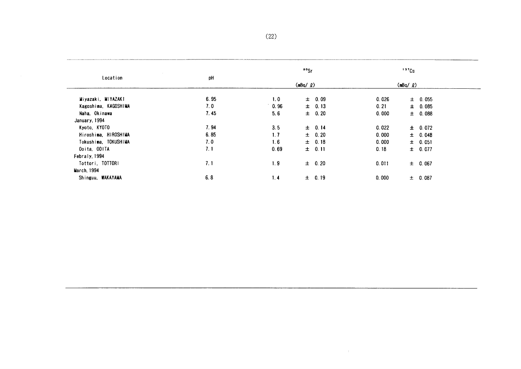| Location             | pH   |      | $\cdot$ $\cdot$   |       | $137$ Cs    |  |
|----------------------|------|------|-------------------|-------|-------------|--|
|                      |      |      | $(mBq / \varrho)$ |       | (mBq / g)   |  |
| Miyazaki, MIYAZAKI   | 6.95 | 1.0  | $\pm$ 0.09        | 0.026 | $\pm$ 0.055 |  |
| Kagoshima, KAGOSHIMA | 7.0  | 0.96 | $\pm$ 0.13        | 0.21  | $\pm$ 0.085 |  |
| Naha. Okinawa        | 7.45 | 5.6  | $\pm$ 0.20        | 0.000 | $\pm$ 0.088 |  |
| January, 1994        |      |      |                   |       |             |  |
| Kyoto, KYOTO         | 7.94 | 3.5  | $\pm$ 0.14        | 0.022 | $\pm 0.072$ |  |
| Hiroshima, HIROSHIMA | 6.85 | 1.7  | $\pm$ 0.20        | 0.000 | ± 0.048     |  |
| Tokushima, TOKUSHIMA | 7.0  | 1.6  | $\pm$ 0.18        | 0.000 | $\pm$ 0.051 |  |
| Ooita, OOITA         | 7.1  | 0.69 | $\pm$ 0.11        | 0.18  | $\pm 0.077$ |  |
| Febraly, 1994        |      |      |                   |       |             |  |
| Tottori, TOTTORI     | 7.1  | 1.9  | $\pm$ 0.20        | 0.011 | $\pm$ 0.067 |  |
| March, 1994          |      |      |                   |       |             |  |
| Shinguu, WAKAYAMA    | 6.8  | 1, 4 | $\pm$ 0.19        | 0.000 | ± 0.087     |  |

 $\mathcal{A}^{\text{max}}$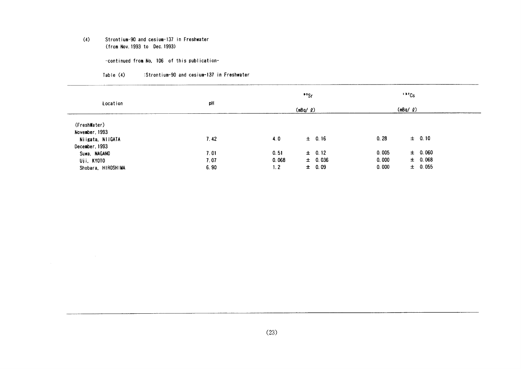#### $(4)$ Strontium-90 and cesium-137 in Freshwater (from Nov. 1993 to Dec. 1993)

-continued from No. 106 of this publication-

#### Table (4) :Strontium-90 and cesium-137 in Freshwater

|                    |      |       | $• •$ Sr          |       | 137Cs        |  |
|--------------------|------|-------|-------------------|-------|--------------|--|
| Location           | pH   |       | $(mBq / \varrho)$ |       | $(mBq/$ $Q)$ |  |
| (FreshWater)       |      |       |                   |       |              |  |
| November, 1993     |      |       |                   |       |              |  |
| Niigata, NIIGATA   | 7.42 | 4.0   | $\pm$ 0.16        | 0.28  | $\pm$ 0.10   |  |
| December, 1993     |      |       |                   |       |              |  |
| Suwa, NAGANO       | 7.01 | 0, 51 | $\pm$ 0.12        | 0.005 | $\pm$ 0.060  |  |
| Uji, KYOTO         | 7.07 | 0.068 | $\pm$ 0.036       | 0.000 | $\pm$ 0.068  |  |
| Shobara, HIROSHIMA | 6.90 | 1.2   | $\pm 0.09$        | 0.000 | $\pm$ 0.055  |  |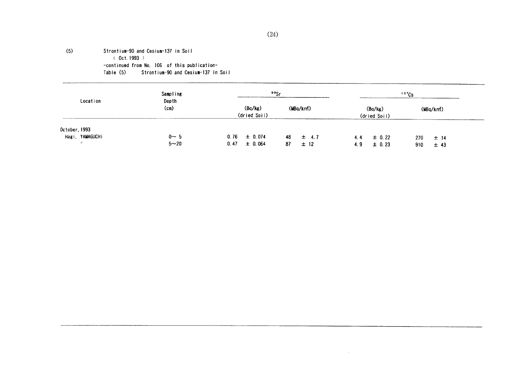#### $(5)$ Strontium-90 and Cesium-137 in Soil  $(C0ct.1993)$ -continued from No, 106 of this publication-Table (5) Strontium-90 and Cesium-137 in Soil

|                                                       | Sampling            | <sup>90</sup> Sr                        |                              |                                        | 137Cs                        |  |
|-------------------------------------------------------|---------------------|-----------------------------------------|------------------------------|----------------------------------------|------------------------------|--|
| Location                                              | Depth<br>(cm)       | (Bq/kg)<br>(dried Soil)                 | (MBa/km <sup>2</sup> )       | (Bq/kg)<br>(dried Soil)                | (MBq/km)                     |  |
| October, 1993<br>Hagi, YAMAGUCHI<br>$^{\prime\prime}$ | $0 - 5$<br>$5 - 20$ | $0.76 \pm 0.074$<br>$\pm$ 0.064<br>0.47 | 48<br>$\pm$ 4.7<br>87<br>±12 | $\pm$ 0.22<br>4.4<br>$\pm$ 0.23<br>4.9 | 270<br>$±$ 14<br>910<br>± 43 |  |

 $\alpha$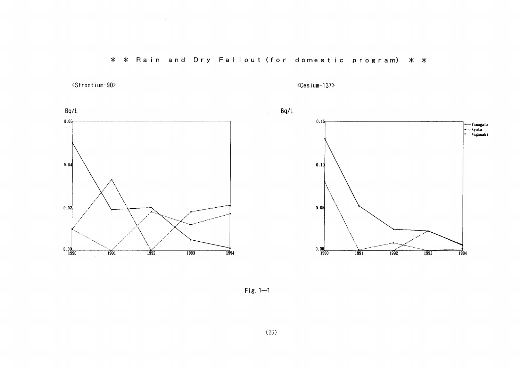\* \* Rain and Dry Fallout (for domestic program) \* \*

<Strontium-90>

<Cesium-137>



Fig.  $1-1$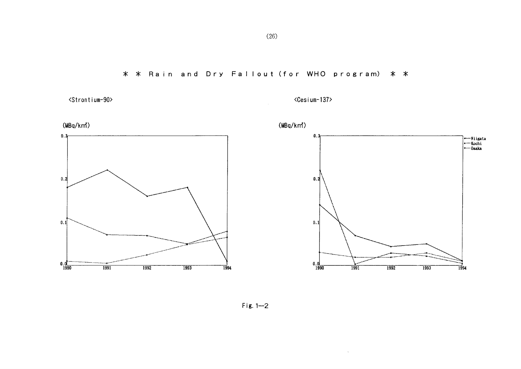\* \* Rain and Dry Fallout (for WHO program) \* \*



<Cesium-137>

 $\Delta \phi$ 

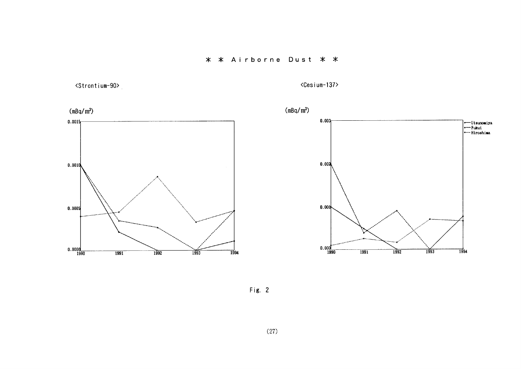<Strontium-90>

<Cesium-137>



Fig.  $2$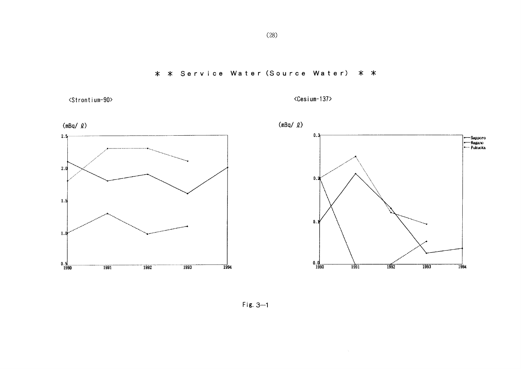\* \* Service Water (Source Water) \* \*



<Cesium-137>



Fig.  $3-1$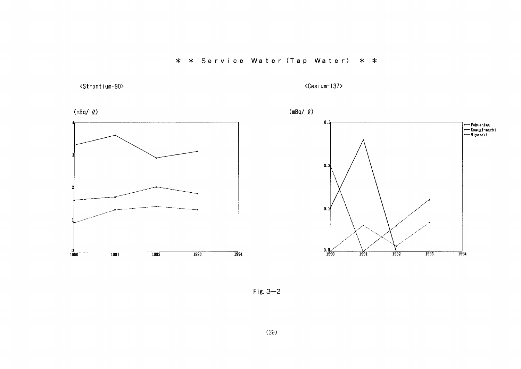

 $\langle$ Cesium-137>



Fig.  $3-2$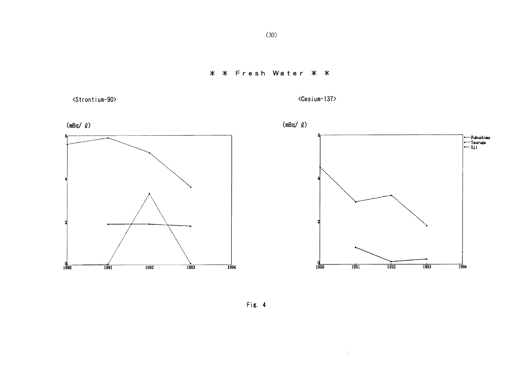## \* \* Fresh Water \* \*

<Strontium-90>

 $\langle$ Cesium-137>

 $\sim 6$ 



Fig. 4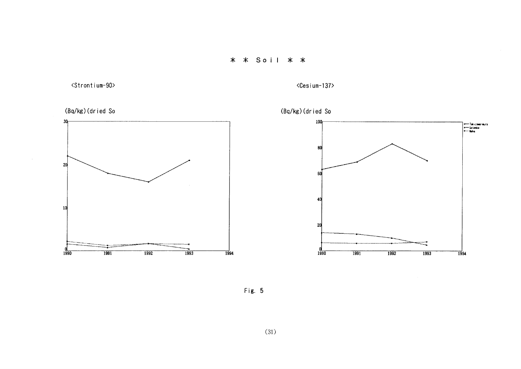\* \* Soil \* \*

(Bq/kg)(dried So  $30$ 

<Strontium-90>

<Cesium-137>



Fig. 5